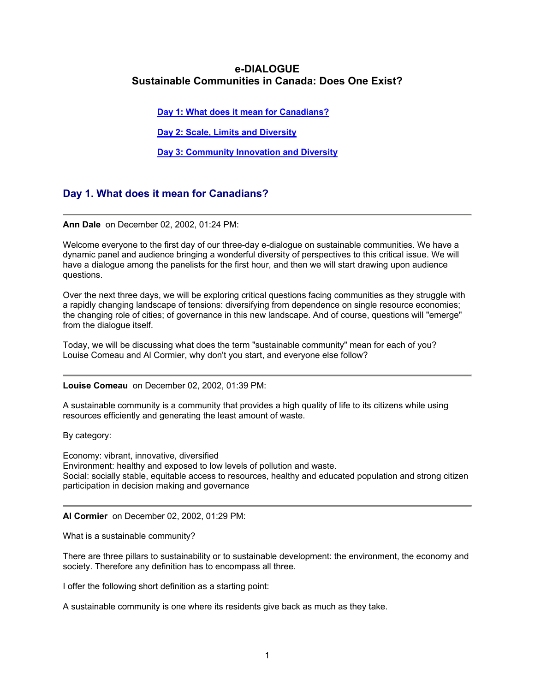# <span id="page-0-0"></span>**e-DIALOGUE Sustainable Communities in Canada: Does One Exist?**

**[Day 1: What does it mean for Canadians?](#page-0-0)**

**[Day 2: Scale, Limits and Diversity](#page-24-0)**

**Day 3: [Community Innovation and Diversity](#page-38-0)**

# **Day 1. What does it mean for Canadians?**

## **Ann Dale** on December 02, 2002, 01:24 PM:

Welcome everyone to the first day of our three-day e-dialogue on sustainable communities. We have a dynamic panel and audience bringing a wonderful diversity of perspectives to this critical issue. We will have a dialogue among the panelists for the first hour, and then we will start drawing upon audience questions.

Over the next three days, we will be exploring critical questions facing communities as they struggle with a rapidly changing landscape of tensions: diversifying from dependence on single resource economies; the changing role of cities; of governance in this new landscape. And of course, questions will "emerge" from the dialogue itself.

Today, we will be discussing what does the term "sustainable community" mean for each of you? Louise Comeau and Al Cormier, why don't you start, and everyone else follow?

#### **Louise Comeau** on December 02, 2002, 01:39 PM:

A sustainable community is a community that provides a high quality of life to its citizens while using resources efficiently and generating the least amount of waste.

By category:

Economy: vibrant, innovative, diversified Environment: healthy and exposed to low levels of pollution and waste. Social: socially stable, equitable access to resources, healthy and educated population and strong citizen participation in decision making and governance

## **Al Cormier** on December 02, 2002, 01:29 PM:

What is a sustainable community?

There are three pillars to sustainability or to sustainable development: the environment, the economy and society. Therefore any definition has to encompass all three.

I offer the following short definition as a starting point:

A sustainable community is one where its residents give back as much as they take.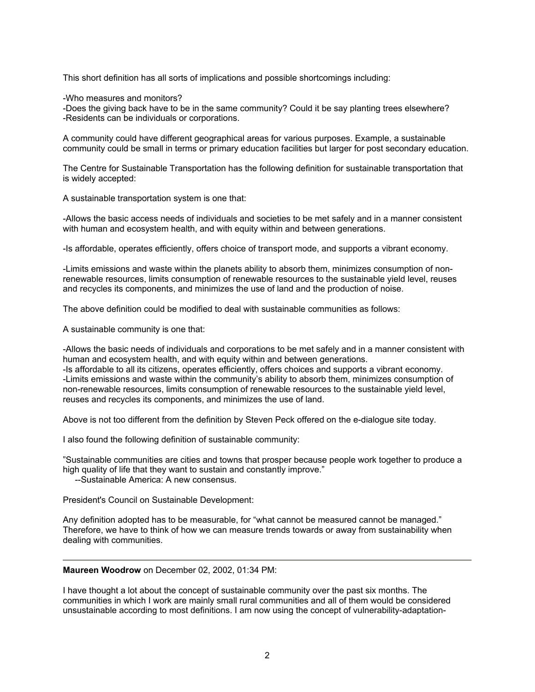This short definition has all sorts of implications and possible shortcomings including:

-Who measures and monitors?

-Does the giving back have to be in the same community? Could it be say planting trees elsewhere? -Residents can be individuals or corporations.

A community could have different geographical areas for various purposes. Example, a sustainable community could be small in terms or primary education facilities but larger for post secondary education.

The Centre for Sustainable Transportation has the following definition for sustainable transportation that is widely accepted:

A sustainable transportation system is one that:

-Allows the basic access needs of individuals and societies to be met safely and in a manner consistent with human and ecosystem health, and with equity within and between generations.

-Is affordable, operates efficiently, offers choice of transport mode, and supports a vibrant economy.

-Limits emissions and waste within the planets ability to absorb them, minimizes consumption of nonrenewable resources, limits consumption of renewable resources to the sustainable yield level, reuses and recycles its components, and minimizes the use of land and the production of noise.

The above definition could be modified to deal with sustainable communities as follows:

A sustainable community is one that:

-Allows the basic needs of individuals and corporations to be met safely and in a manner consistent with human and ecosystem health, and with equity within and between generations.

-Is affordable to all its citizens, operates efficiently, offers choices and supports a vibrant economy. -Limits emissions and waste within the community's ability to absorb them, minimizes consumption of non-renewable resources, limits consumption of renewable resources to the sustainable yield level, reuses and recycles its components, and minimizes the use of land.

Above is not too different from the definition by Steven Peck offered on the e-dialogue site today.

I also found the following definition of sustainable community:

"Sustainable communities are cities and towns that prosper because people work together to produce a high quality of life that they want to sustain and constantly improve."

--Sustainable America: A new consensus.

President's Council on Sustainable Development:

Any definition adopted has to be measurable, for "what cannot be measured cannot be managed." Therefore, we have to think of how we can measure trends towards or away from sustainability when dealing with communities.

**Maureen Woodrow** on December 02, 2002, 01:34 PM:

I have thought a lot about the concept of sustainable community over the past six months. The communities in which I work are mainly small rural communities and all of them would be considered unsustainable according to most definitions. I am now using the concept of vulnerability-adaptation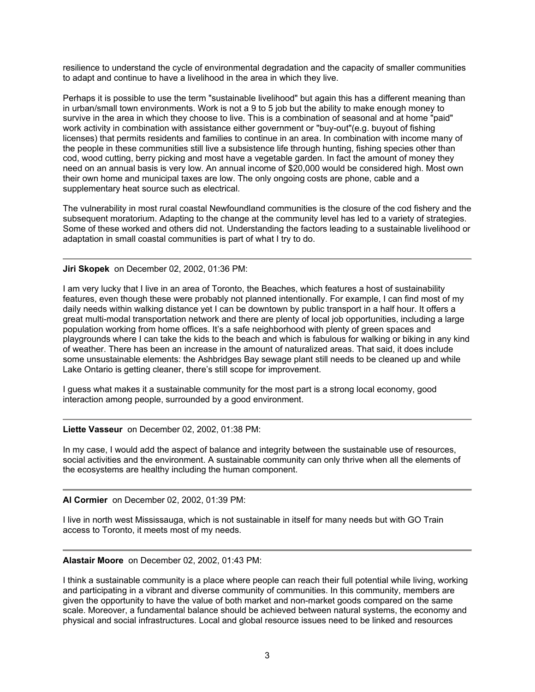resilience to understand the cycle of environmental degradation and the capacity of smaller communities to adapt and continue to have a livelihood in the area in which they live.

Perhaps it is possible to use the term "sustainable livelihood" but again this has a different meaning than in urban/small town environments. Work is not a 9 to 5 job but the ability to make enough money to survive in the area in which they choose to live. This is a combination of seasonal and at home "paid" work activity in combination with assistance either government or "buy-out"(e.g. buyout of fishing licenses) that permits residents and families to continue in an area. In combination with income many of the people in these communities still live a subsistence life through hunting, fishing species other than cod, wood cutting, berry picking and most have a vegetable garden. In fact the amount of money they need on an annual basis is very low. An annual income of \$20,000 would be considered high. Most own their own home and municipal taxes are low. The only ongoing costs are phone, cable and a supplementary heat source such as electrical.

The vulnerability in most rural coastal Newfoundland communities is the closure of the cod fishery and the subsequent moratorium. Adapting to the change at the community level has led to a variety of strategies. Some of these worked and others did not. Understanding the factors leading to a sustainable livelihood or adaptation in small coastal communities is part of what I try to do.

# **Jiri Skopek** on December 02, 2002, 01:36 PM:

I am very lucky that I live in an area of Toronto, the Beaches, which features a host of sustainability features, even though these were probably not planned intentionally. For example, I can find most of my daily needs within walking distance yet I can be downtown by public transport in a half hour. It offers a great multi-modal transportation network and there are plenty of local job opportunities, including a large population working from home offices. It's a safe neighborhood with plenty of green spaces and playgrounds where I can take the kids to the beach and which is fabulous for walking or biking in any kind of weather. There has been an increase in the amount of naturalized areas. That said, it does include some unsustainable elements: the Ashbridges Bay sewage plant still needs to be cleaned up and while Lake Ontario is getting cleaner, there's still scope for improvement.

I guess what makes it a sustainable community for the most part is a strong local economy, good interaction among people, surrounded by a good environment.

## **Liette Vasseur** on December 02, 2002, 01:38 PM:

In my case, I would add the aspect of balance and integrity between the sustainable use of resources, social activities and the environment. A sustainable community can only thrive when all the elements of the ecosystems are healthy including the human component.

## **Al Cormier** on December 02, 2002, 01:39 PM:

I live in north west Mississauga, which is not sustainable in itself for many needs but with GO Train access to Toronto, it meets most of my needs.

## **Alastair Moore** on December 02, 2002, 01:43 PM:

I think a sustainable community is a place where people can reach their full potential while living, working and participating in a vibrant and diverse community of communities. In this community, members are given the opportunity to have the value of both market and non-market goods compared on the same scale. Moreover, a fundamental balance should be achieved between natural systems, the economy and physical and social infrastructures. Local and global resource issues need to be linked and resources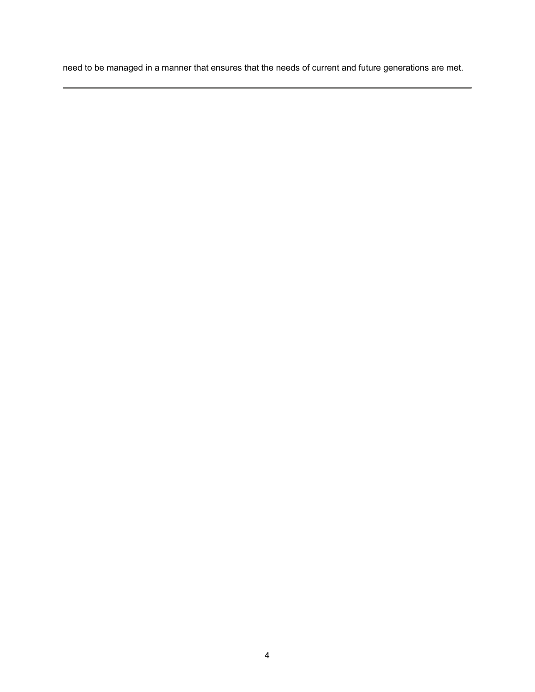need to be managed in a manner that ensures that the needs of current and future generations are met.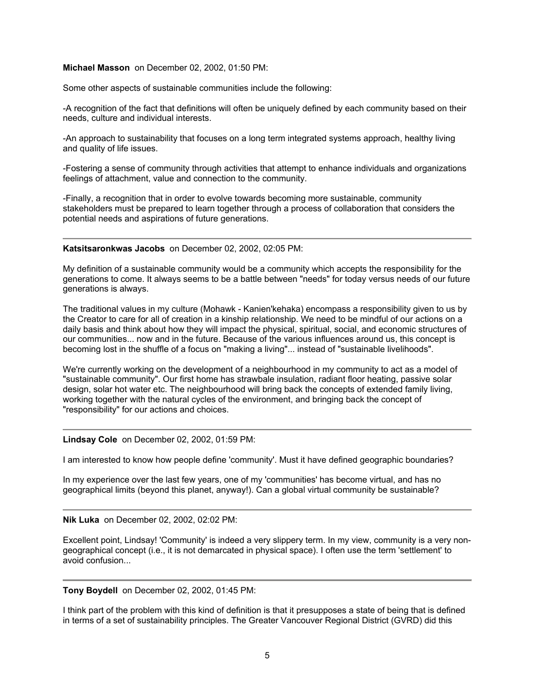#### **Michael Masson** on December 02, 2002, 01:50 PM:

Some other aspects of sustainable communities include the following:

-A recognition of the fact that definitions will often be uniquely defined by each community based on their needs, culture and individual interests.

-An approach to sustainability that focuses on a long term integrated systems approach, healthy living and quality of life issues.

-Fostering a sense of community through activities that attempt to enhance individuals and organizations feelings of attachment, value and connection to the community.

-Finally, a recognition that in order to evolve towards becoming more sustainable, community stakeholders must be prepared to learn together through a process of collaboration that considers the potential needs and aspirations of future generations.

**Katsitsaronkwas Jacobs** on December 02, 2002, 02:05 PM:

My definition of a sustainable community would be a community which accepts the responsibility for the generations to come. It always seems to be a battle between "needs" for today versus needs of our future generations is always.

The traditional values in my culture (Mohawk - Kanien'kehaka) encompass a responsibility given to us by the Creator to care for all of creation in a kinship relationship. We need to be mindful of our actions on a daily basis and think about how they will impact the physical, spiritual, social, and economic structures of our communities... now and in the future. Because of the various influences around us, this concept is becoming lost in the shuffle of a focus on "making a living"... instead of "sustainable livelihoods".

We're currently working on the development of a neighbourhood in my community to act as a model of "sustainable community". Our first home has strawbale insulation, radiant floor heating, passive solar design, solar hot water etc. The neighbourhood will bring back the concepts of extended family living, working together with the natural cycles of the environment, and bringing back the concept of "responsibility" for our actions and choices.

**Lindsay Cole** on December 02, 2002, 01:59 PM:

I am interested to know how people define 'community'. Must it have defined geographic boundaries?

In my experience over the last few years, one of my 'communities' has become virtual, and has no geographical limits (beyond this planet, anyway!). Can a global virtual community be sustainable?

**Nik Luka** on December 02, 2002, 02:02 PM:

Excellent point, Lindsay! 'Community' is indeed a very slippery term. In my view, community is a very nongeographical concept (i.e., it is not demarcated in physical space). I often use the term 'settlement' to avoid confusion...

**Tony Boydell** on December 02, 2002, 01:45 PM:

I think part of the problem with this kind of definition is that it presupposes a state of being that is defined in terms of a set of sustainability principles. The Greater Vancouver Regional District (GVRD) did this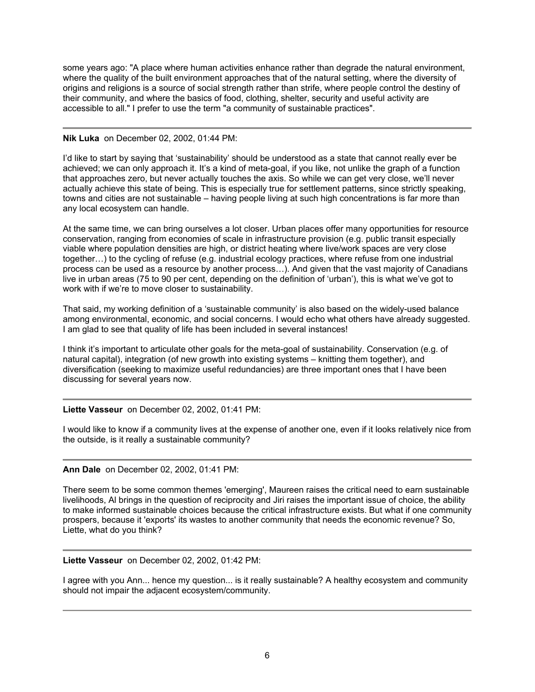some years ago: "A place where human activities enhance rather than degrade the natural environment, where the quality of the built environment approaches that of the natural setting, where the diversity of origins and religions is a source of social strength rather than strife, where people control the destiny of their community, and where the basics of food, clothing, shelter, security and useful activity are accessible to all." I prefer to use the term "a community of sustainable practices".

## **Nik Luka** on December 02, 2002, 01:44 PM:

I'd like to start by saying that 'sustainability' should be understood as a state that cannot really ever be achieved; we can only approach it. It's a kind of meta-goal, if you like, not unlike the graph of a function that approaches zero, but never actually touches the axis. So while we can get very close, we'll never actually achieve this state of being. This is especially true for settlement patterns, since strictly speaking, towns and cities are not sustainable – having people living at such high concentrations is far more than any local ecosystem can handle.

At the same time, we can bring ourselves a lot closer. Urban places offer many opportunities for resource conservation, ranging from economies of scale in infrastructure provision (e.g. public transit especially viable where population densities are high, or district heating where live/work spaces are very close together…) to the cycling of refuse (e.g. industrial ecology practices, where refuse from one industrial process can be used as a resource by another process…). And given that the vast majority of Canadians live in urban areas (75 to 90 per cent, depending on the definition of 'urban'), this is what we've got to work with if we're to move closer to sustainability.

That said, my working definition of a 'sustainable community' is also based on the widely-used balance among environmental, economic, and social concerns. I would echo what others have already suggested. I am glad to see that quality of life has been included in several instances!

I think it's important to articulate other goals for the meta-goal of sustainability. Conservation (e.g. of natural capital), integration (of new growth into existing systems – knitting them together), and diversification (seeking to maximize useful redundancies) are three important ones that I have been discussing for several years now.

# **Liette Vasseur** on December 02, 2002, 01:41 PM:

I would like to know if a community lives at the expense of another one, even if it looks relatively nice from the outside, is it really a sustainable community?

# **Ann Dale** on December 02, 2002, 01:41 PM:

There seem to be some common themes 'emerging', Maureen raises the critical need to earn sustainable livelihoods, Al brings in the question of reciprocity and Jiri raises the important issue of choice, the ability to make informed sustainable choices because the critical infrastructure exists. But what if one community prospers, because it 'exports' its wastes to another community that needs the economic revenue? So, Liette, what do you think?

# **Liette Vasseur** on December 02, 2002, 01:42 PM:

I agree with you Ann... hence my question... is it really sustainable? A healthy ecosystem and community should not impair the adjacent ecosystem/community.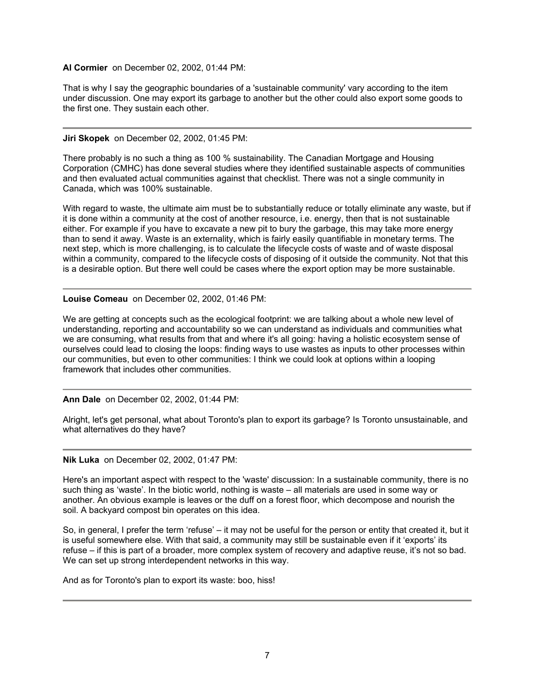## **Al Cormier** on December 02, 2002, 01:44 PM:

That is why I say the geographic boundaries of a 'sustainable community' vary according to the item under discussion. One may export its garbage to another but the other could also export some goods to the first one. They sustain each other.

## **Jiri Skopek** on December 02, 2002, 01:45 PM:

There probably is no such a thing as 100 % sustainability. The Canadian Mortgage and Housing Corporation (CMHC) has done several studies where they identified sustainable aspects of communities and then evaluated actual communities against that checklist. There was not a single community in Canada, which was 100% sustainable.

With regard to waste, the ultimate aim must be to substantially reduce or totally eliminate any waste, but if it is done within a community at the cost of another resource, i.e. energy, then that is not sustainable either. For example if you have to excavate a new pit to bury the garbage, this may take more energy than to send it away. Waste is an externality, which is fairly easily quantifiable in monetary terms. The next step, which is more challenging, is to calculate the lifecycle costs of waste and of waste disposal within a community, compared to the lifecycle costs of disposing of it outside the community. Not that this is a desirable option. But there well could be cases where the export option may be more sustainable.

**Louise Comeau** on December 02, 2002, 01:46 PM:

We are getting at concepts such as the ecological footprint: we are talking about a whole new level of understanding, reporting and accountability so we can understand as individuals and communities what we are consuming, what results from that and where it's all going: having a holistic ecosystem sense of ourselves could lead to closing the loops: finding ways to use wastes as inputs to other processes within our communities, but even to other communities: I think we could look at options within a looping framework that includes other communities.

**Ann Dale** on December 02, 2002, 01:44 PM:

Alright, let's get personal, what about Toronto's plan to export its garbage? Is Toronto unsustainable, and what alternatives do they have?

**Nik Luka** on December 02, 2002, 01:47 PM:

Here's an important aspect with respect to the 'waste' discussion: In a sustainable community, there is no such thing as 'waste'. In the biotic world, nothing is waste – all materials are used in some way or another. An obvious example is leaves or the duff on a forest floor, which decompose and nourish the soil. A backyard compost bin operates on this idea.

So, in general, I prefer the term 'refuse' – it may not be useful for the person or entity that created it, but it is useful somewhere else. With that said, a community may still be sustainable even if it 'exports' its refuse – if this is part of a broader, more complex system of recovery and adaptive reuse, it's not so bad. We can set up strong interdependent networks in this way.

And as for Toronto's plan to export its waste: boo, hiss!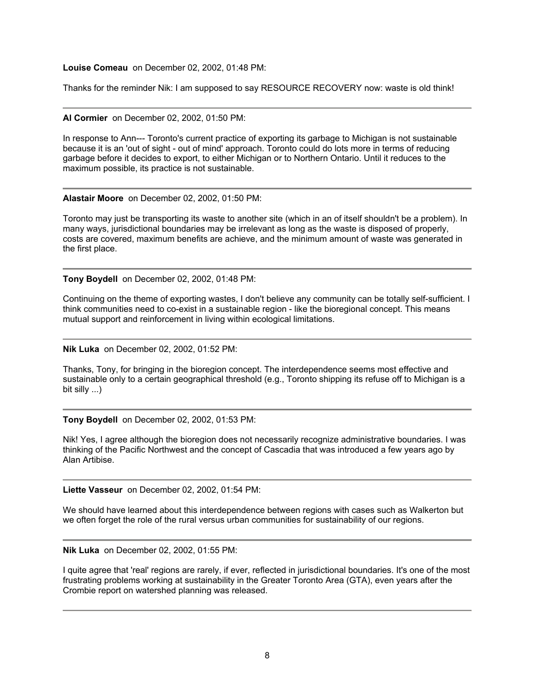**Louise Comeau** on December 02, 2002, 01:48 PM:

Thanks for the reminder Nik: I am supposed to say RESOURCE RECOVERY now: waste is old think!

**Al Cormier** on December 02, 2002, 01:50 PM:

In response to Ann--- Toronto's current practice of exporting its garbage to Michigan is not sustainable because it is an 'out of sight - out of mind' approach. Toronto could do lots more in terms of reducing garbage before it decides to export, to either Michigan or to Northern Ontario. Until it reduces to the maximum possible, its practice is not sustainable.

#### **Alastair Moore** on December 02, 2002, 01:50 PM:

Toronto may just be transporting its waste to another site (which in an of itself shouldn't be a problem). In many ways, jurisdictional boundaries may be irrelevant as long as the waste is disposed of properly, costs are covered, maximum benefits are achieve, and the minimum amount of waste was generated in the first place.

**Tony Boydell** on December 02, 2002, 01:48 PM:

Continuing on the theme of exporting wastes, I don't believe any community can be totally self-sufficient. I think communities need to co-exist in a sustainable region - like the bioregional concept. This means mutual support and reinforcement in living within ecological limitations.

**Nik Luka** on December 02, 2002, 01:52 PM:

Thanks, Tony, for bringing in the bioregion concept. The interdependence seems most effective and sustainable only to a certain geographical threshold (e.g., Toronto shipping its refuse off to Michigan is a bit silly ...)

**Tony Boydell** on December 02, 2002, 01:53 PM:

Nik! Yes, I agree although the bioregion does not necessarily recognize administrative boundaries. I was thinking of the Pacific Northwest and the concept of Cascadia that was introduced a few years ago by Alan Artibise.

**Liette Vasseur** on December 02, 2002, 01:54 PM:

We should have learned about this interdependence between regions with cases such as Walkerton but we often forget the role of the rural versus urban communities for sustainability of our regions.

**Nik Luka** on December 02, 2002, 01:55 PM:

I quite agree that 'real' regions are rarely, if ever, reflected in jurisdictional boundaries. It's one of the most frustrating problems working at sustainability in the Greater Toronto Area (GTA), even years after the Crombie report on watershed planning was released.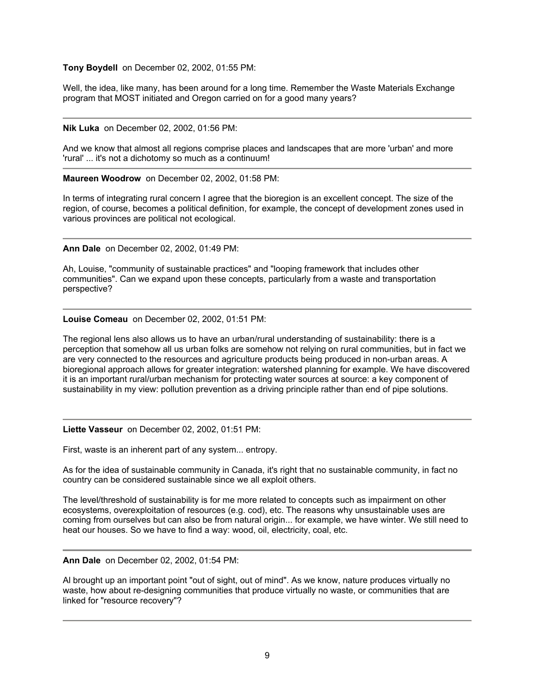## **Tony Boydell** on December 02, 2002, 01:55 PM:

Well, the idea, like many, has been around for a long time. Remember the Waste Materials Exchange program that MOST initiated and Oregon carried on for a good many years?

#### **Nik Luka** on December 02, 2002, 01:56 PM:

And we know that almost all regions comprise places and landscapes that are more 'urban' and more 'rural' ... it's not a dichotomy so much as a continuum!

**Maureen Woodrow** on December 02, 2002, 01:58 PM:

In terms of integrating rural concern I agree that the bioregion is an excellent concept. The size of the region, of course, becomes a political definition, for example, the concept of development zones used in various provinces are political not ecological.

**Ann Dale** on December 02, 2002, 01:49 PM:

Ah, Louise, "community of sustainable practices" and "looping framework that includes other communities". Can we expand upon these concepts, particularly from a waste and transportation perspective?

**Louise Comeau** on December 02, 2002, 01:51 PM:

The regional lens also allows us to have an urban/rural understanding of sustainability: there is a perception that somehow all us urban folks are somehow not relying on rural communities, but in fact we are very connected to the resources and agriculture products being produced in non-urban areas. A bioregional approach allows for greater integration: watershed planning for example. We have discovered it is an important rural/urban mechanism for protecting water sources at source: a key component of sustainability in my view: pollution prevention as a driving principle rather than end of pipe solutions.

## **Liette Vasseur** on December 02, 2002, 01:51 PM:

First, waste is an inherent part of any system... entropy.

As for the idea of sustainable community in Canada, it's right that no sustainable community, in fact no country can be considered sustainable since we all exploit others.

The level/threshold of sustainability is for me more related to concepts such as impairment on other ecosystems, overexploitation of resources (e.g. cod), etc. The reasons why unsustainable uses are coming from ourselves but can also be from natural origin... for example, we have winter. We still need to heat our houses. So we have to find a way: wood, oil, electricity, coal, etc.

**Ann Dale** on December 02, 2002, 01:54 PM:

Al brought up an important point "out of sight, out of mind". As we know, nature produces virtually no waste, how about re-designing communities that produce virtually no waste, or communities that are linked for "resource recovery"?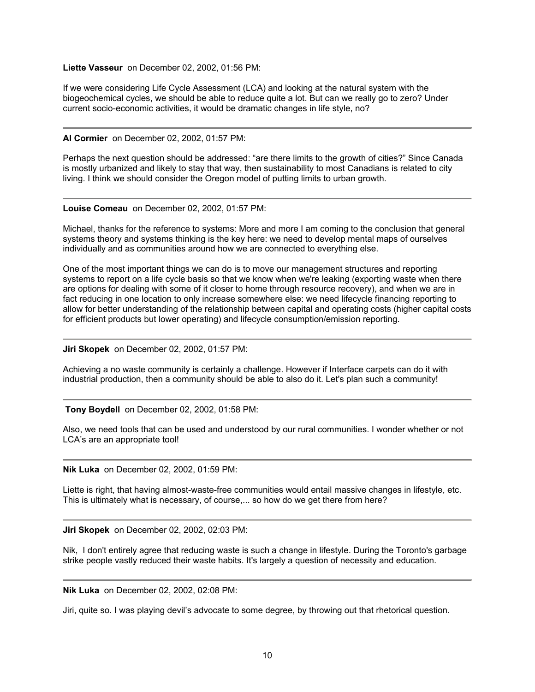## **Liette Vasseur** on December 02, 2002, 01:56 PM:

If we were considering Life Cycle Assessment (LCA) and looking at the natural system with the biogeochemical cycles, we should be able to reduce quite a lot. But can we really go to zero? Under current socio-economic activities, it would be dramatic changes in life style, no?

#### **Al Cormier** on December 02, 2002, 01:57 PM:

Perhaps the next question should be addressed: "are there limits to the growth of cities?" Since Canada is mostly urbanized and likely to stay that way, then sustainability to most Canadians is related to city living. I think we should consider the Oregon model of putting limits to urban growth.

**Louise Comeau** on December 02, 2002, 01:57 PM:

Michael, thanks for the reference to systems: More and more I am coming to the conclusion that general systems theory and systems thinking is the key here: we need to develop mental maps of ourselves individually and as communities around how we are connected to everything else.

One of the most important things we can do is to move our management structures and reporting systems to report on a life cycle basis so that we know when we're leaking (exporting waste when there are options for dealing with some of it closer to home through resource recovery), and when we are in fact reducing in one location to only increase somewhere else: we need lifecycle financing reporting to allow for better understanding of the relationship between capital and operating costs (higher capital costs for efficient products but lower operating) and lifecycle consumption/emission reporting.

**Jiri Skopek** on December 02, 2002, 01:57 PM:

Achieving a no waste community is certainly a challenge. However if Interface carpets can do it with industrial production, then a community should be able to also do it. Let's plan such a community!

**Tony Boydell** on December 02, 2002, 01:58 PM:

Also, we need tools that can be used and understood by our rural communities. I wonder whether or not LCA's are an appropriate tool!

**Nik Luka** on December 02, 2002, 01:59 PM:

Liette is right, that having almost-waste-free communities would entail massive changes in lifestyle, etc. This is ultimately what is necessary, of course,... so how do we get there from here?

**Jiri Skopek** on December 02, 2002, 02:03 PM:

Nik, I don't entirely agree that reducing waste is such a change in lifestyle. During the Toronto's garbage strike people vastly reduced their waste habits. It's largely a question of necessity and education.

**Nik Luka** on December 02, 2002, 02:08 PM:

Jiri, quite so. I was playing devil's advocate to some degree, by throwing out that rhetorical question.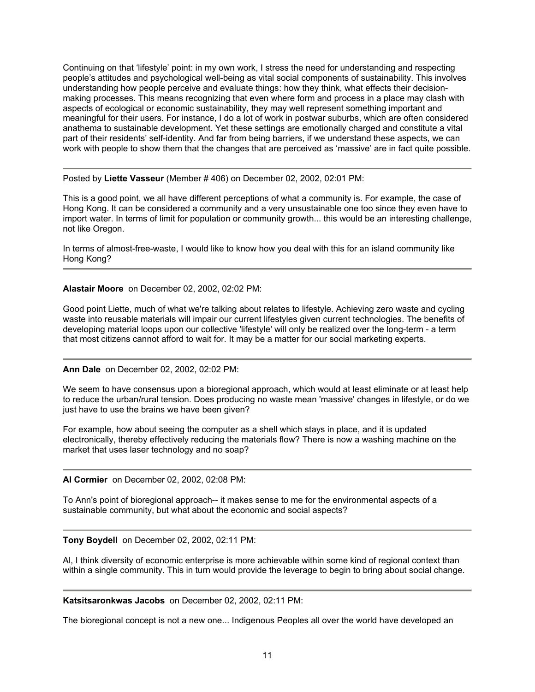Continuing on that 'lifestyle' point: in my own work, I stress the need for understanding and respecting people's attitudes and psychological well-being as vital social components of sustainability. This involves understanding how people perceive and evaluate things: how they think, what effects their decisionmaking processes. This means recognizing that even where form and process in a place may clash with aspects of ecological or economic sustainability, they may well represent something important and meaningful for their users. For instance, I do a lot of work in postwar suburbs, which are often considered anathema to sustainable development. Yet these settings are emotionally charged and constitute a vital part of their residents' self-identity. And far from being barriers, if we understand these aspects, we can work with people to show them that the changes that are perceived as 'massive' are in fact quite possible.

Posted by **Liette Vasseur** (Member # 406) on December 02, 2002, 02:01 PM:

This is a good point, we all have different perceptions of what a community is. For example, the case of Hong Kong. It can be considered a community and a very unsustainable one too since they even have to import water. In terms of limit for population or community growth... this would be an interesting challenge, not like Oregon.

In terms of almost-free-waste, I would like to know how you deal with this for an island community like Hong Kong?

**Alastair Moore** on December 02, 2002, 02:02 PM:

Good point Liette, much of what we're talking about relates to lifestyle. Achieving zero waste and cycling waste into reusable materials will impair our current lifestyles given current technologies. The benefits of developing material loops upon our collective 'lifestyle' will only be realized over the long-term - a term that most citizens cannot afford to wait for. It may be a matter for our social marketing experts.

# **Ann Dale** on December 02, 2002, 02:02 PM:

We seem to have consensus upon a bioregional approach, which would at least eliminate or at least help to reduce the urban/rural tension. Does producing no waste mean 'massive' changes in lifestyle, or do we just have to use the brains we have been given?

For example, how about seeing the computer as a shell which stays in place, and it is updated electronically, thereby effectively reducing the materials flow? There is now a washing machine on the market that uses laser technology and no soap?

**Al Cormier** on December 02, 2002, 02:08 PM:

To Ann's point of bioregional approach-- it makes sense to me for the environmental aspects of a sustainable community, but what about the economic and social aspects?

## **Tony Boydell** on December 02, 2002, 02:11 PM:

Al, I think diversity of economic enterprise is more achievable within some kind of regional context than within a single community. This in turn would provide the leverage to begin to bring about social change.

**Katsitsaronkwas Jacobs** on December 02, 2002, 02:11 PM:

The bioregional concept is not a new one... Indigenous Peoples all over the world have developed an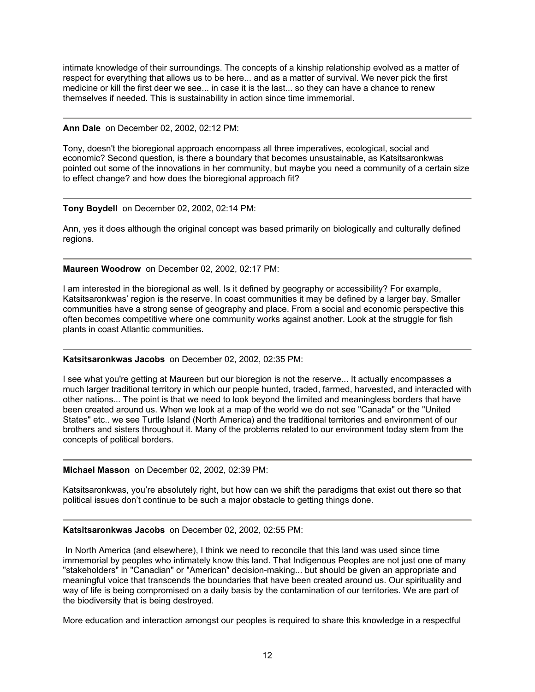intimate knowledge of their surroundings. The concepts of a kinship relationship evolved as a matter of respect for everything that allows us to be here... and as a matter of survival. We never pick the first medicine or kill the first deer we see... in case it is the last... so they can have a chance to renew themselves if needed. This is sustainability in action since time immemorial.

## **Ann Dale** on December 02, 2002, 02:12 PM:

Tony, doesn't the bioregional approach encompass all three imperatives, ecological, social and economic? Second question, is there a boundary that becomes unsustainable, as Katsitsaronkwas pointed out some of the innovations in her community, but maybe you need a community of a certain size to effect change? and how does the bioregional approach fit?

## **Tony Boydell** on December 02, 2002, 02:14 PM:

Ann, yes it does although the original concept was based primarily on biologically and culturally defined regions.

## **Maureen Woodrow** on December 02, 2002, 02:17 PM:

I am interested in the bioregional as well. Is it defined by geography or accessibility? For example, Katsitsaronkwas' region is the reserve. In coast communities it may be defined by a larger bay. Smaller communities have a strong sense of geography and place. From a social and economic perspective this often becomes competitive where one community works against another. Look at the struggle for fish plants in coast Atlantic communities.

## **Katsitsaronkwas Jacobs** on December 02, 2002, 02:35 PM:

I see what you're getting at Maureen but our bioregion is not the reserve... It actually encompasses a much larger traditional territory in which our people hunted, traded, farmed, harvested, and interacted with other nations... The point is that we need to look beyond the limited and meaningless borders that have been created around us. When we look at a map of the world we do not see "Canada" or the "United States" etc.. we see Turtle Island (North America) and the traditional territories and environment of our brothers and sisters throughout it. Many of the problems related to our environment today stem from the concepts of political borders.

## **Michael Masson** on December 02, 2002, 02:39 PM:

Katsitsaronkwas, you're absolutely right, but how can we shift the paradigms that exist out there so that political issues don't continue to be such a major obstacle to getting things done.

## **Katsitsaronkwas Jacobs** on December 02, 2002, 02:55 PM:

 In North America (and elsewhere), I think we need to reconcile that this land was used since time immemorial by peoples who intimately know this land. That Indigenous Peoples are not just one of many "stakeholders" in "Canadian" or "American" decision-making... but should be given an appropriate and meaningful voice that transcends the boundaries that have been created around us. Our spirituality and way of life is being compromised on a daily basis by the contamination of our territories. We are part of the biodiversity that is being destroyed.

More education and interaction amongst our peoples is required to share this knowledge in a respectful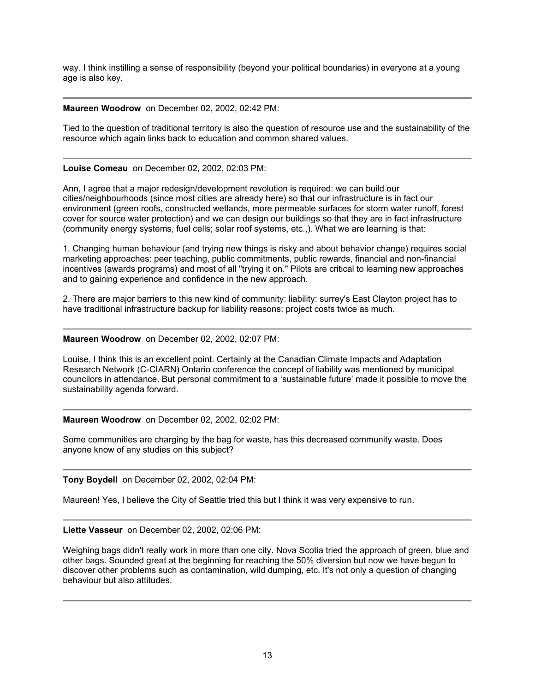way. I think instilling a sense of responsibility (beyond your political boundaries) in everyone at a young age is also key.

## **Maureen Woodrow** on December 02, 2002, 02:42 PM:

Tied to the question of traditional territory is also the question of resource use and the sustainability of the resource which again links back to education and common shared values.

# **Louise Comeau** on December 02, 2002, 02:03 PM:

Ann, I agree that a major redesign/development revolution is required: we can build our cities/neighbourhoods (since most cities are already here) so that our infrastructure is in fact our environment (green roofs, constructed wetlands, more permeable surfaces for storm water runoff, forest cover for source water protection) and we can design our buildings so that they are in fact infrastructure (community energy systems, fuel cells; solar roof systems, etc.,). What we are learning is that:

1. Changing human behaviour (and trying new things is risky and about behavior change) requires social marketing approaches: peer teaching, public commitments, public rewards, financial and non-financial incentives (awards programs) and most of all "trying it on." Pilots are critical to learning new approaches and to gaining experience and confidence in the new approach.

2. There are major barriers to this new kind of community: liability: surrey's East Clayton project has to have traditional infrastructure backup for liability reasons: project costs twice as much.

## **Maureen Woodrow** on December 02, 2002, 02:07 PM:

Louise, I think this is an excellent point. Certainly at the Canadian Climate Impacts and Adaptation Research Network (C-CIARN) Ontario conference the concept of liability was mentioned by municipal councilors in attendance. But personal commitment to a 'sustainable future' made it possible to move the sustainability agenda forward.

## **Maureen Woodrow** on December 02, 2002, 02:02 PM:

Some communities are charging by the bag for waste, has this decreased community waste. Does anyone know of any studies on this subject?

**Tony Boydell** on December 02, 2002, 02:04 PM:

Maureen! Yes, I believe the City of Seattle tried this but I think it was very expensive to run.

## **Liette Vasseur** on December 02, 2002, 02:06 PM:

Weighing bags didn't really work in more than one city. Nova Scotia tried the approach of green, blue and other bags. Sounded great at the beginning for reaching the 50% diversion but now we have begun to discover other problems such as contamination, wild dumping, etc. It's not only a question of changing behaviour but also attitudes.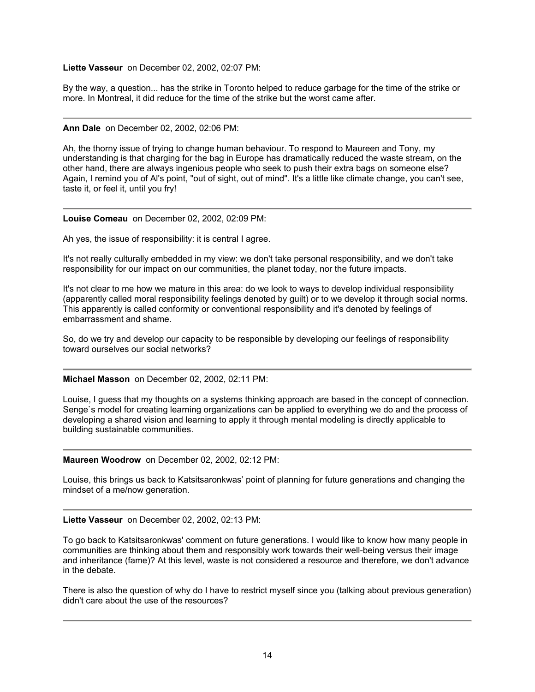## **Liette Vasseur** on December 02, 2002, 02:07 PM:

By the way, a question... has the strike in Toronto helped to reduce garbage for the time of the strike or more. In Montreal, it did reduce for the time of the strike but the worst came after.

#### **Ann Dale** on December 02, 2002, 02:06 PM:

Ah, the thorny issue of trying to change human behaviour. To respond to Maureen and Tony, my understanding is that charging for the bag in Europe has dramatically reduced the waste stream, on the other hand, there are always ingenious people who seek to push their extra bags on someone else? Again, I remind you of Al's point, "out of sight, out of mind". It's a little like climate change, you can't see, taste it, or feel it, until you fry!

#### **Louise Comeau** on December 02, 2002, 02:09 PM:

Ah yes, the issue of responsibility: it is central I agree.

It's not really culturally embedded in my view: we don't take personal responsibility, and we don't take responsibility for our impact on our communities, the planet today, nor the future impacts.

It's not clear to me how we mature in this area: do we look to ways to develop individual responsibility (apparently called moral responsibility feelings denoted by guilt) or to we develop it through social norms. This apparently is called conformity or conventional responsibility and it's denoted by feelings of embarrassment and shame.

So, do we try and develop our capacity to be responsible by developing our feelings of responsibility toward ourselves our social networks?

## **Michael Masson** on December 02, 2002, 02:11 PM:

Louise, I guess that my thoughts on a systems thinking approach are based in the concept of connection. Senge`s model for creating learning organizations can be applied to everything we do and the process of developing a shared vision and learning to apply it through mental modeling is directly applicable to building sustainable communities.

#### **Maureen Woodrow** on December 02, 2002, 02:12 PM:

Louise, this brings us back to Katsitsaronkwas' point of planning for future generations and changing the mindset of a me/now generation.

#### **Liette Vasseur** on December 02, 2002, 02:13 PM:

To go back to Katsitsaronkwas' comment on future generations. I would like to know how many people in communities are thinking about them and responsibly work towards their well-being versus their image and inheritance (fame)? At this level, waste is not considered a resource and therefore, we don't advance in the debate.

There is also the question of why do I have to restrict myself since you (talking about previous generation) didn't care about the use of the resources?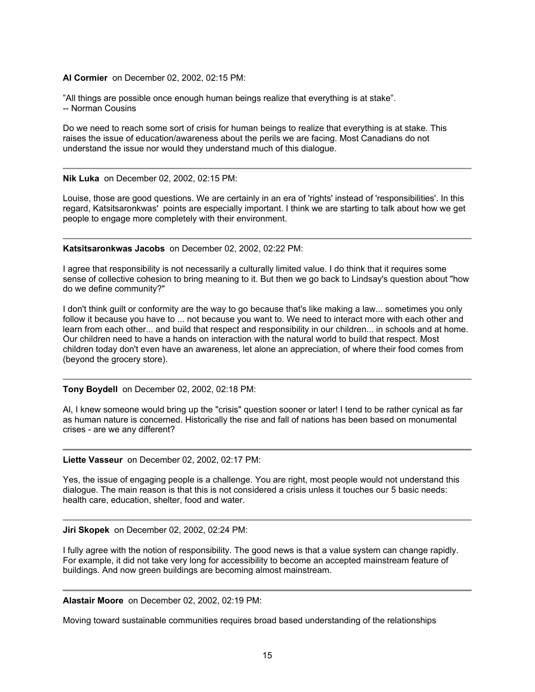#### **Al Cormier** on December 02, 2002, 02:15 PM:

"All things are possible once enough human beings realize that everything is at stake". -- Norman Cousins

Do we need to reach some sort of crisis for human beings to realize that everything is at stake. This raises the issue of education/awareness about the perils we are facing. Most Canadians do not understand the issue nor would they understand much of this dialogue.

#### **Nik Luka** on December 02, 2002, 02:15 PM:

Louise, those are good questions. We are certainly in an era of 'rights' instead of 'responsibilities'. In this regard, Katsitsaronkwas' points are especially important. I think we are starting to talk about how we get people to engage more completely with their environment.

#### **Katsitsaronkwas Jacobs** on December 02, 2002, 02:22 PM:

I agree that responsibility is not necessarily a culturally limited value. I do think that it requires some sense of collective cohesion to bring meaning to it. But then we go back to Lindsay's question about "how do we define community?"

I don't think guilt or conformity are the way to go because that's like making a law... sometimes you only follow it because you have to ... not because you want to. We need to interact more with each other and learn from each other... and build that respect and responsibility in our children... in schools and at home. Our children need to have a hands on interaction with the natural world to build that respect. Most children today don't even have an awareness, let alone an appreciation, of where their food comes from (beyond the grocery store).

**Tony Boydell** on December 02, 2002, 02:18 PM:

Al, I knew someone would bring up the "crisis" question sooner or later! I tend to be rather cynical as far as human nature is concerned. Historically the rise and fall of nations has been based on monumental crises - are we any different?

**Liette Vasseur** on December 02, 2002, 02:17 PM:

Yes, the issue of engaging people is a challenge. You are right, most people would not understand this dialogue. The main reason is that this is not considered a crisis unless it touches our 5 basic needs: health care, education, shelter, food and water.

#### **Jiri Skopek** on December 02, 2002, 02:24 PM:

I fully agree with the notion of responsibility. The good news is that a value system can change rapidly. For example, it did not take very long for accessibility to become an accepted mainstream feature of buildings. And now green buildings are becoming almost mainstream.

**Alastair Moore** on December 02, 2002, 02:19 PM:

Moving toward sustainable communities requires broad based understanding of the relationships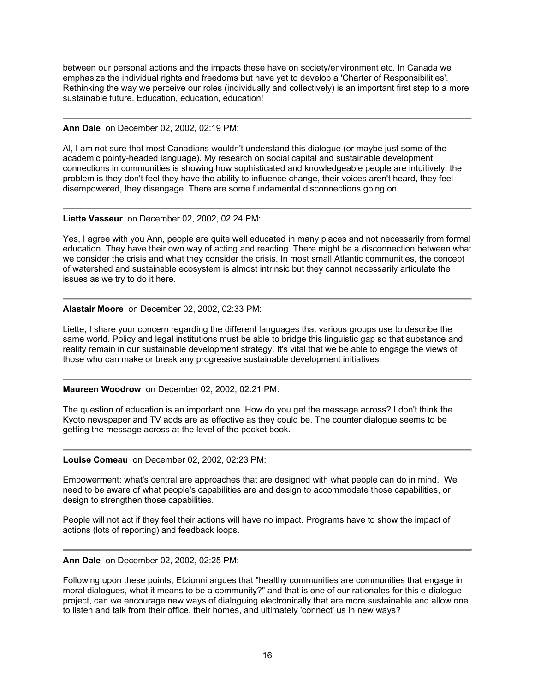between our personal actions and the impacts these have on society/environment etc. In Canada we emphasize the individual rights and freedoms but have yet to develop a 'Charter of Responsibilities'. Rethinking the way we perceive our roles (individually and collectively) is an important first step to a more sustainable future. Education, education, education!

## **Ann Dale** on December 02, 2002, 02:19 PM:

Al, I am not sure that most Canadians wouldn't understand this dialogue (or maybe just some of the academic pointy-headed language). My research on social capital and sustainable development connections in communities is showing how sophisticated and knowledgeable people are intuitively: the problem is they don't feel they have the ability to influence change, their voices aren't heard, they feel disempowered, they disengage. There are some fundamental disconnections going on.

# **Liette Vasseur** on December 02, 2002, 02:24 PM:

Yes, I agree with you Ann, people are quite well educated in many places and not necessarily from formal education. They have their own way of acting and reacting. There might be a disconnection between what we consider the crisis and what they consider the crisis. In most small Atlantic communities, the concept of watershed and sustainable ecosystem is almost intrinsic but they cannot necessarily articulate the issues as we try to do it here.

# **Alastair Moore** on December 02, 2002, 02:33 PM:

Liette, I share your concern regarding the different languages that various groups use to describe the same world. Policy and legal institutions must be able to bridge this linguistic gap so that substance and reality remain in our sustainable development strategy. It's vital that we be able to engage the views of those who can make or break any progressive sustainable development initiatives.

## **Maureen Woodrow** on December 02, 2002, 02:21 PM:

The question of education is an important one. How do you get the message across? I don't think the Kyoto newspaper and TV adds are as effective as they could be. The counter dialogue seems to be getting the message across at the level of the pocket book.

**Louise Comeau** on December 02, 2002, 02:23 PM:

Empowerment: what's central are approaches that are designed with what people can do in mind. We need to be aware of what people's capabilities are and design to accommodate those capabilities, or design to strengthen those capabilities.

People will not act if they feel their actions will have no impact. Programs have to show the impact of actions (lots of reporting) and feedback loops.

**Ann Dale** on December 02, 2002, 02:25 PM:

Following upon these points, Etzionni argues that "healthy communities are communities that engage in moral dialogues, what it means to be a community?" and that is one of our rationales for this e-dialogue project, can we encourage new ways of dialoguing electronically that are more sustainable and allow one to listen and talk from their office, their homes, and ultimately 'connect' us in new ways?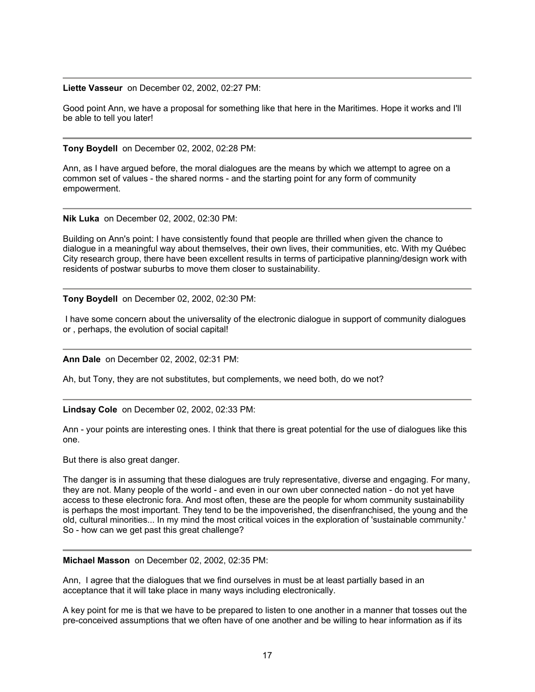#### **Liette Vasseur** on December 02, 2002, 02:27 PM:

Good point Ann, we have a proposal for something like that here in the Maritimes. Hope it works and I'll be able to tell you later!

**Tony Boydell** on December 02, 2002, 02:28 PM:

Ann, as I have argued before, the moral dialogues are the means by which we attempt to agree on a common set of values - the shared norms - and the starting point for any form of community empowerment.

**Nik Luka** on December 02, 2002, 02:30 PM:

Building on Ann's point: I have consistently found that people are thrilled when given the chance to dialogue in a meaningful way about themselves, their own lives, their communities, etc. With my Québec City research group, there have been excellent results in terms of participative planning/design work with residents of postwar suburbs to move them closer to sustainability.

**Tony Boydell** on December 02, 2002, 02:30 PM:

 I have some concern about the universality of the electronic dialogue in support of community dialogues or , perhaps, the evolution of social capital!

**Ann Dale** on December 02, 2002, 02:31 PM:

Ah, but Tony, they are not substitutes, but complements, we need both, do we not?

**Lindsay Cole** on December 02, 2002, 02:33 PM:

Ann - your points are interesting ones. I think that there is great potential for the use of dialogues like this one.

But there is also great danger.

The danger is in assuming that these dialogues are truly representative, diverse and engaging. For many, they are not. Many people of the world - and even in our own uber connected nation - do not yet have access to these electronic fora. And most often, these are the people for whom community sustainability is perhaps the most important. They tend to be the impoverished, the disenfranchised, the young and the old, cultural minorities... In my mind the most critical voices in the exploration of 'sustainable community.' So - how can we get past this great challenge?

**Michael Masson** on December 02, 2002, 02:35 PM:

Ann, I agree that the dialogues that we find ourselves in must be at least partially based in an acceptance that it will take place in many ways including electronically.

A key point for me is that we have to be prepared to listen to one another in a manner that tosses out the pre-conceived assumptions that we often have of one another and be willing to hear information as if its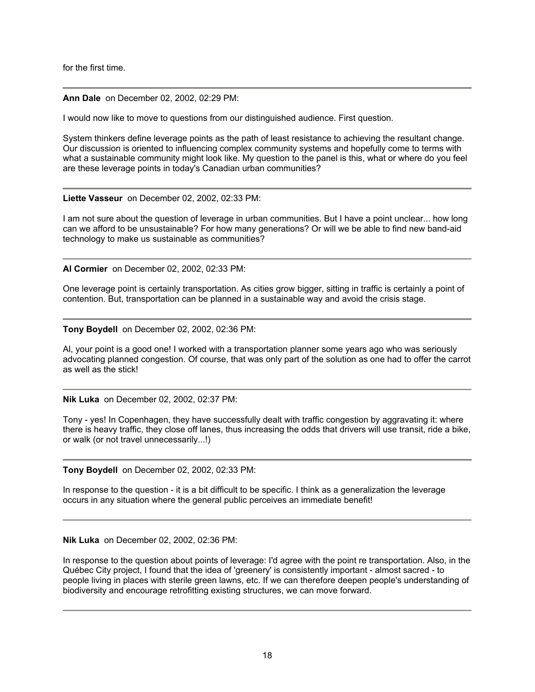for the first time.

## **Ann Dale** on December 02, 2002, 02:29 PM:

I would now like to move to questions from our distinguished audience. First question.

System thinkers define leverage points as the path of least resistance to achieving the resultant change. Our discussion is oriented to influencing complex community systems and hopefully come to terms with what a sustainable community might look like. My question to the panel is this, what or where do you feel are these leverage points in today's Canadian urban communities?

## **Liette Vasseur** on December 02, 2002, 02:33 PM:

I am not sure about the question of leverage in urban communities. But I have a point unclear... how long can we afford to be unsustainable? For how many generations? Or will we be able to find new band-aid technology to make us sustainable as communities?

**Al Cormier** on December 02, 2002, 02:33 PM:

One leverage point is certainly transportation. As cities grow bigger, sitting in traffic is certainly a point of contention. But, transportation can be planned in a sustainable way and avoid the crisis stage.

**Tony Boydell** on December 02, 2002, 02:36 PM:

Al, your point is a good one! I worked with a transportation planner some years ago who was seriously advocating planned congestion. Of course, that was only part of the solution as one had to offer the carrot as well as the stick!

**Nik Luka** on December 02, 2002, 02:37 PM:

Tony - yes! In Copenhagen, they have successfully dealt with traffic congestion by aggravating it: where there is heavy traffic, they close off lanes, thus increasing the odds that drivers will use transit, ride a bike, or walk (or not travel unnecessarily...!)

**Tony Boydell** on December 02, 2002, 02:33 PM:

In response to the question - it is a bit difficult to be specific. I think as a generalization the leverage occurs in any situation where the general public perceives an immediate benefit!

**Nik Luka** on December 02, 2002, 02:36 PM:

In response to the question about points of leverage: I'd agree with the point re transportation. Also, in the Québec City project, I found that the idea of 'greenery' is consistently important - almost sacred - to people living in places with sterile green lawns, etc. If we can therefore deepen people's understanding of biodiversity and encourage retrofitting existing structures, we can move forward.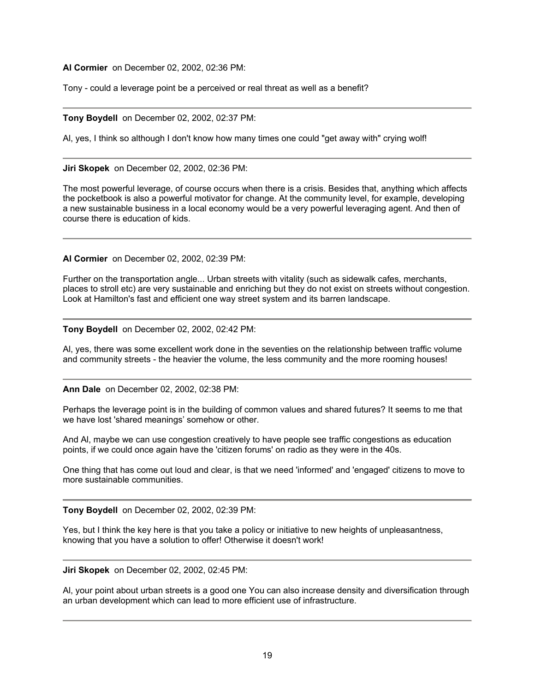**Al Cormier** on December 02, 2002, 02:36 PM:

Tony - could a leverage point be a perceived or real threat as well as a benefit?

# **Tony Boydell** on December 02, 2002, 02:37 PM:

Al, yes, I think so although I don't know how many times one could "get away with" crying wolf!

## **Jiri Skopek** on December 02, 2002, 02:36 PM:

The most powerful leverage, of course occurs when there is a crisis. Besides that, anything which affects the pocketbook is also a powerful motivator for change. At the community level, for example, developing a new sustainable business in a local economy would be a very powerful leveraging agent. And then of course there is education of kids.

**Al Cormier** on December 02, 2002, 02:39 PM:

Further on the transportation angle... Urban streets with vitality (such as sidewalk cafes, merchants, places to stroll etc) are very sustainable and enriching but they do not exist on streets without congestion. Look at Hamilton's fast and efficient one way street system and its barren landscape.

**Tony Boydell** on December 02, 2002, 02:42 PM:

Al, yes, there was some excellent work done in the seventies on the relationship between traffic volume and community streets - the heavier the volume, the less community and the more rooming houses!

**Ann Dale** on December 02, 2002, 02:38 PM:

Perhaps the leverage point is in the building of common values and shared futures? It seems to me that we have lost 'shared meanings' somehow or other.

And Al, maybe we can use congestion creatively to have people see traffic congestions as education points, if we could once again have the 'citizen forums' on radio as they were in the 40s.

One thing that has come out loud and clear, is that we need 'informed' and 'engaged' citizens to move to more sustainable communities.

**Tony Boydell** on December 02, 2002, 02:39 PM:

Yes, but I think the key here is that you take a policy or initiative to new heights of unpleasantness, knowing that you have a solution to offer! Otherwise it doesn't work!

**Jiri Skopek** on December 02, 2002, 02:45 PM:

Al, your point about urban streets is a good one You can also increase density and diversification through an urban development which can lead to more efficient use of infrastructure.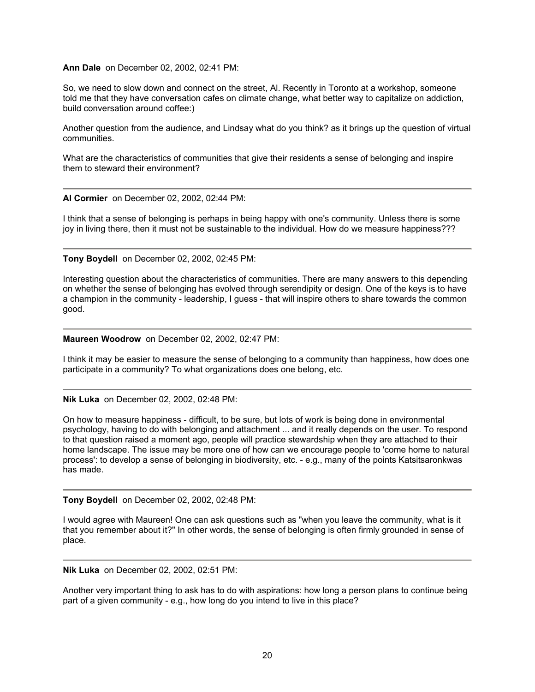#### **Ann Dale** on December 02, 2002, 02:41 PM:

So, we need to slow down and connect on the street, Al. Recently in Toronto at a workshop, someone told me that they have conversation cafes on climate change, what better way to capitalize on addiction, build conversation around coffee:)

Another question from the audience, and Lindsay what do you think? as it brings up the question of virtual communities.

What are the characteristics of communities that give their residents a sense of belonging and inspire them to steward their environment?

**Al Cormier** on December 02, 2002, 02:44 PM:

I think that a sense of belonging is perhaps in being happy with one's community. Unless there is some joy in living there, then it must not be sustainable to the individual. How do we measure happiness???

**Tony Boydell** on December 02, 2002, 02:45 PM:

Interesting question about the characteristics of communities. There are many answers to this depending on whether the sense of belonging has evolved through serendipity or design. One of the keys is to have a champion in the community - leadership, I guess - that will inspire others to share towards the common good.

**Maureen Woodrow** on December 02, 2002, 02:47 PM:

I think it may be easier to measure the sense of belonging to a community than happiness, how does one participate in a community? To what organizations does one belong, etc.

**Nik Luka** on December 02, 2002, 02:48 PM:

On how to measure happiness - difficult, to be sure, but lots of work is being done in environmental psychology, having to do with belonging and attachment ... and it really depends on the user. To respond to that question raised a moment ago, people will practice stewardship when they are attached to their home landscape. The issue may be more one of how can we encourage people to 'come home to natural process': to develop a sense of belonging in biodiversity, etc. - e.g., many of the points Katsitsaronkwas has made.

**Tony Boydell** on December 02, 2002, 02:48 PM:

I would agree with Maureen! One can ask questions such as "when you leave the community, what is it that you remember about it?" In other words, the sense of belonging is often firmly grounded in sense of place.

**Nik Luka** on December 02, 2002, 02:51 PM:

Another very important thing to ask has to do with aspirations: how long a person plans to continue being part of a given community - e.g., how long do you intend to live in this place?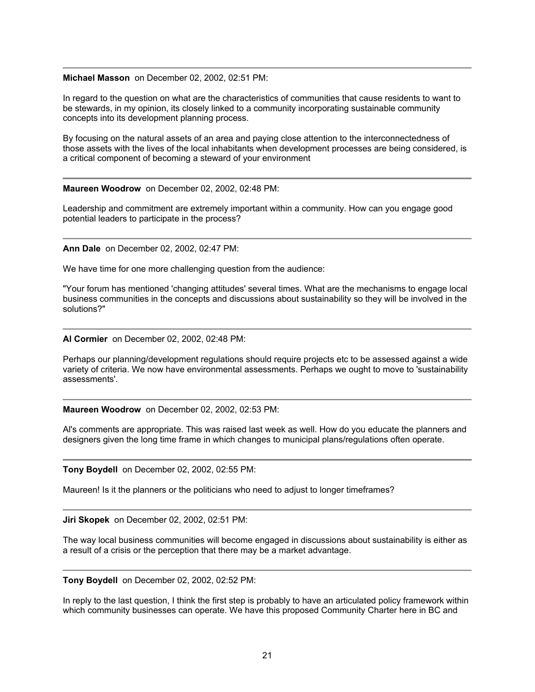#### **Michael Masson** on December 02, 2002, 02:51 PM:

In regard to the question on what are the characteristics of communities that cause residents to want to be stewards, in my opinion, its closely linked to a community incorporating sustainable community concepts into its development planning process.

By focusing on the natural assets of an area and paying close attention to the interconnectedness of those assets with the lives of the local inhabitants when development processes are being considered, is a critical component of becoming a steward of your environment

## **Maureen Woodrow** on December 02, 2002, 02:48 PM:

Leadership and commitment are extremely important within a community. How can you engage good potential leaders to participate in the process?

**Ann Dale** on December 02, 2002, 02:47 PM:

We have time for one more challenging question from the audience:

"Your forum has mentioned 'changing attitudes' several times. What are the mechanisms to engage local business communities in the concepts and discussions about sustainability so they will be involved in the solutions?"

#### **Al Cormier** on December 02, 2002, 02:48 PM:

Perhaps our planning/development regulations should require projects etc to be assessed against a wide variety of criteria. We now have environmental assessments. Perhaps we ought to move to 'sustainability assessments'.

**Maureen Woodrow** on December 02, 2002, 02:53 PM:

Al's comments are appropriate. This was raised last week as well. How do you educate the planners and designers given the long time frame in which changes to municipal plans/regulations often operate.

**Tony Boydell** on December 02, 2002, 02:55 PM:

Maureen! Is it the planners or the politicians who need to adjust to longer timeframes?

**Jiri Skopek** on December 02, 2002, 02:51 PM:

The way local business communities will become engaged in discussions about sustainability is either as a result of a crisis or the perception that there may be a market advantage.

**Tony Boydell** on December 02, 2002, 02:52 PM:

In reply to the last question, I think the first step is probably to have an articulated policy framework within which community businesses can operate. We have this proposed Community Charter here in BC and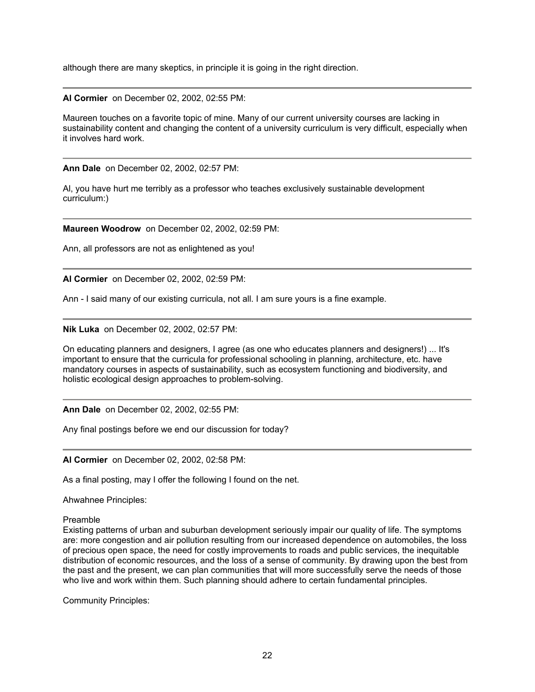although there are many skeptics, in principle it is going in the right direction.

**Al Cormier** on December 02, 2002, 02:55 PM:

Maureen touches on a favorite topic of mine. Many of our current university courses are lacking in sustainability content and changing the content of a university curriculum is very difficult, especially when it involves hard work.

**Ann Dale** on December 02, 2002, 02:57 PM:

Al, you have hurt me terribly as a professor who teaches exclusively sustainable development curriculum:)

**Maureen Woodrow** on December 02, 2002, 02:59 PM:

Ann, all professors are not as enlightened as you!

**Al Cormier** on December 02, 2002, 02:59 PM:

Ann - I said many of our existing curricula, not all. I am sure yours is a fine example.

**Nik Luka** on December 02, 2002, 02:57 PM:

On educating planners and designers, I agree (as one who educates planners and designers!) ... It's important to ensure that the curricula for professional schooling in planning, architecture, etc. have mandatory courses in aspects of sustainability, such as ecosystem functioning and biodiversity, and holistic ecological design approaches to problem-solving.

**Ann Dale** on December 02, 2002, 02:55 PM:

Any final postings before we end our discussion for today?

**Al Cormier** on December 02, 2002, 02:58 PM:

As a final posting, may I offer the following I found on the net.

Ahwahnee Principles:

Preamble

Existing patterns of urban and suburban development seriously impair our quality of life. The symptoms are: more congestion and air pollution resulting from our increased dependence on automobiles, the loss of precious open space, the need for costly improvements to roads and public services, the inequitable distribution of economic resources, and the loss of a sense of community. By drawing upon the best from the past and the present, we can plan communities that will more successfully serve the needs of those who live and work within them. Such planning should adhere to certain fundamental principles.

Community Principles: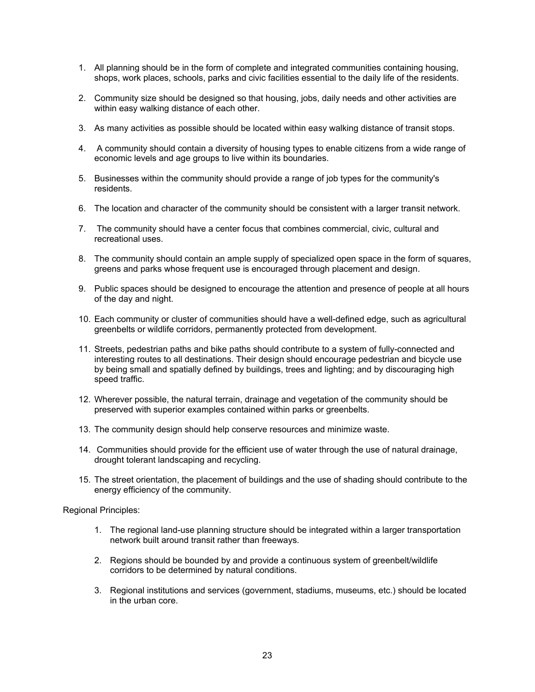- 1. All planning should be in the form of complete and integrated communities containing housing, shops, work places, schools, parks and civic facilities essential to the daily life of the residents.
- 2. Community size should be designed so that housing, jobs, daily needs and other activities are within easy walking distance of each other.
- 3. As many activities as possible should be located within easy walking distance of transit stops.
- 4. A community should contain a diversity of housing types to enable citizens from a wide range of economic levels and age groups to live within its boundaries.
- 5. Businesses within the community should provide a range of job types for the community's residents.
- 6. The location and character of the community should be consistent with a larger transit network.
- 7. The community should have a center focus that combines commercial, civic, cultural and recreational uses.
- 8. The community should contain an ample supply of specialized open space in the form of squares, greens and parks whose frequent use is encouraged through placement and design.
- 9. Public spaces should be designed to encourage the attention and presence of people at all hours of the day and night.
- 10. Each community or cluster of communities should have a well-defined edge, such as agricultural greenbelts or wildlife corridors, permanently protected from development.
- 11. Streets, pedestrian paths and bike paths should contribute to a system of fully-connected and interesting routes to all destinations. Their design should encourage pedestrian and bicycle use by being small and spatially defined by buildings, trees and lighting; and by discouraging high speed traffic.
- 12. Wherever possible, the natural terrain, drainage and vegetation of the community should be preserved with superior examples contained within parks or greenbelts.
- 13. The community design should help conserve resources and minimize waste.
- 14. Communities should provide for the efficient use of water through the use of natural drainage, drought tolerant landscaping and recycling.
- 15. The street orientation, the placement of buildings and the use of shading should contribute to the energy efficiency of the community.

Regional Principles:

- 1. The regional land-use planning structure should be integrated within a larger transportation network built around transit rather than freeways.
- 2. Regions should be bounded by and provide a continuous system of greenbelt/wildlife corridors to be determined by natural conditions.
- 3. Regional institutions and services (government, stadiums, museums, etc.) should be located in the urban core.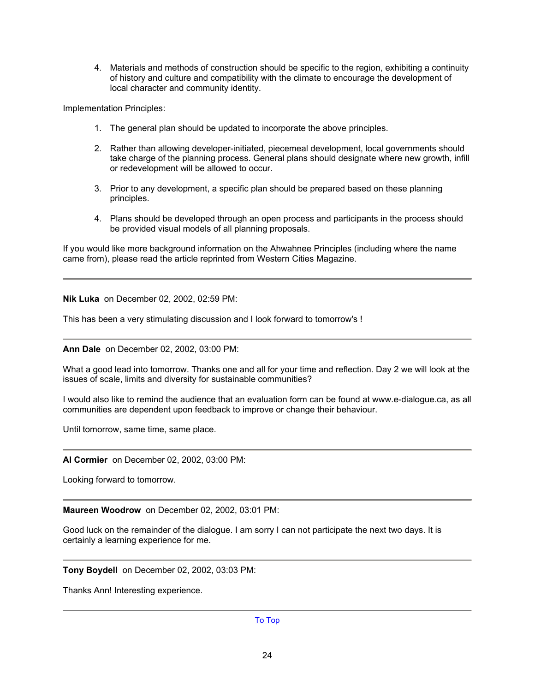4. Materials and methods of construction should be specific to the region, exhibiting a continuity of history and culture and compatibility with the climate to encourage the development of local character and community identity.

Implementation Principles:

- 1. The general plan should be updated to incorporate the above principles.
- 2. Rather than allowing developer-initiated, piecemeal development, local governments should take charge of the planning process. General plans should designate where new growth, infill or redevelopment will be allowed to occur.
- 3. Prior to any development, a specific plan should be prepared based on these planning principles.
- 4. Plans should be developed through an open process and participants in the process should be provided visual models of all planning proposals.

If you would like more background information on the Ahwahnee Principles (including where the name came from), please read the article reprinted from Western Cities Magazine.

**Nik Luka** on December 02, 2002, 02:59 PM:

This has been a very stimulating discussion and I look forward to tomorrow's !

**Ann Dale** on December 02, 2002, 03:00 PM:

What a good lead into tomorrow. Thanks one and all for your time and reflection. Day 2 we will look at the issues of scale, limits and diversity for sustainable communities?

I would also like to remind the audience that an evaluation form can be found at www.e-dialogue.ca, as all communities are dependent upon feedback to improve or change their behaviour.

Until tomorrow, same time, same place.

**Al Cormier** on December 02, 2002, 03:00 PM:

Looking forward to tomorrow.

**Maureen Woodrow** on December 02, 2002, 03:01 PM:

Good luck on the remainder of the dialogue. I am sorry I can not participate the next two days. It is certainly a learning experience for me.

**Tony Boydell** on December 02, 2002, 03:03 PM:

Thanks Ann! Interesting experience.

[To Top](#page-0-0)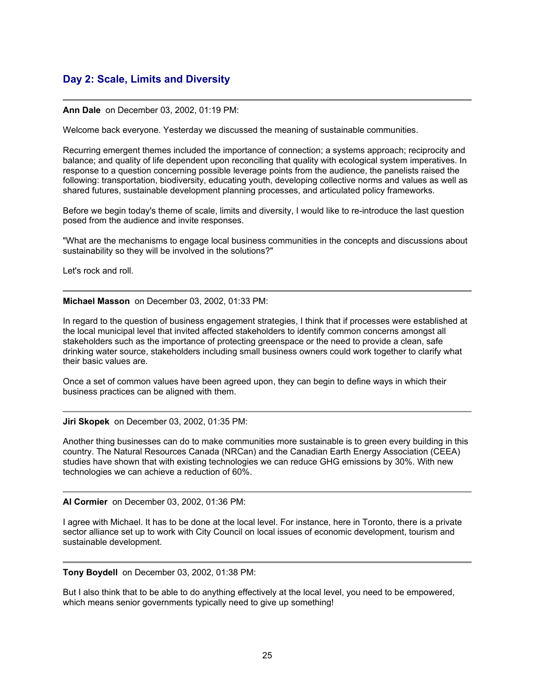# <span id="page-24-0"></span>**Day 2: Scale, Limits and Diversity**

#### **Ann Dale** on December 03, 2002, 01:19 PM:

Welcome back everyone. Yesterday we discussed the meaning of sustainable communities.

Recurring emergent themes included the importance of connection; a systems approach; reciprocity and balance; and quality of life dependent upon reconciling that quality with ecological system imperatives. In response to a question concerning possible leverage points from the audience, the panelists raised the following: transportation, biodiversity, educating youth, developing collective norms and values as well as shared futures, sustainable development planning processes, and articulated policy frameworks.

Before we begin today's theme of scale, limits and diversity, I would like to re-introduce the last question posed from the audience and invite responses.

"What are the mechanisms to engage local business communities in the concepts and discussions about sustainability so they will be involved in the solutions?"

Let's rock and roll.

#### **Michael Masson** on December 03, 2002, 01:33 PM:

In regard to the question of business engagement strategies, I think that if processes were established at the local municipal level that invited affected stakeholders to identify common concerns amongst all stakeholders such as the importance of protecting greenspace or the need to provide a clean, safe drinking water source, stakeholders including small business owners could work together to clarify what their basic values are.

Once a set of common values have been agreed upon, they can begin to define ways in which their business practices can be aligned with them.

**Jiri Skopek** on December 03, 2002, 01:35 PM:

Another thing businesses can do to make communities more sustainable is to green every building in this country. The Natural Resources Canada (NRCan) and the Canadian Earth Energy Association (CEEA) studies have shown that with existing technologies we can reduce GHG emissions by 30%. With new technologies we can achieve a reduction of 60%.

#### **Al Cormier** on December 03, 2002, 01:36 PM:

I agree with Michael. It has to be done at the local level. For instance, here in Toronto, there is a private sector alliance set up to work with City Council on local issues of economic development, tourism and sustainable development.

**Tony Boydell** on December 03, 2002, 01:38 PM:

But I also think that to be able to do anything effectively at the local level, you need to be empowered, which means senior governments typically need to give up something!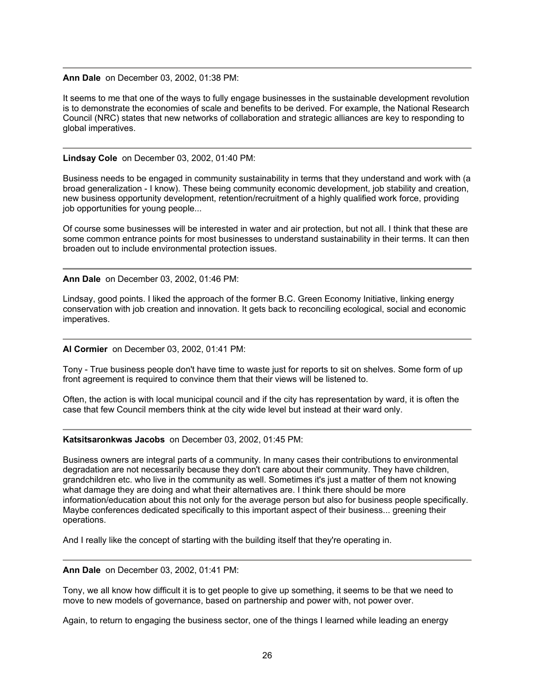#### **Ann Dale** on December 03, 2002, 01:38 PM:

It seems to me that one of the ways to fully engage businesses in the sustainable development revolution is to demonstrate the economies of scale and benefits to be derived. For example, the National Research Council (NRC) states that new networks of collaboration and strategic alliances are key to responding to global imperatives.

#### **Lindsay Cole** on December 03, 2002, 01:40 PM:

Business needs to be engaged in community sustainability in terms that they understand and work with (a broad generalization - I know). These being community economic development, job stability and creation, new business opportunity development, retention/recruitment of a highly qualified work force, providing job opportunities for young people...

Of course some businesses will be interested in water and air protection, but not all. I think that these are some common entrance points for most businesses to understand sustainability in their terms. It can then broaden out to include environmental protection issues.

#### **Ann Dale** on December 03, 2002, 01:46 PM:

Lindsay, good points. I liked the approach of the former B.C. Green Economy Initiative, linking energy conservation with job creation and innovation. It gets back to reconciling ecological, social and economic imperatives.

#### **Al Cormier** on December 03, 2002, 01:41 PM:

Tony - True business people don't have time to waste just for reports to sit on shelves. Some form of up front agreement is required to convince them that their views will be listened to.

Often, the action is with local municipal council and if the city has representation by ward, it is often the case that few Council members think at the city wide level but instead at their ward only.

#### **Katsitsaronkwas Jacobs** on December 03, 2002, 01:45 PM:

Business owners are integral parts of a community. In many cases their contributions to environmental degradation are not necessarily because they don't care about their community. They have children, grandchildren etc. who live in the community as well. Sometimes it's just a matter of them not knowing what damage they are doing and what their alternatives are. I think there should be more information/education about this not only for the average person but also for business people specifically. Maybe conferences dedicated specifically to this important aspect of their business... greening their operations.

And I really like the concept of starting with the building itself that they're operating in.

#### **Ann Dale** on December 03, 2002, 01:41 PM:

Tony, we all know how difficult it is to get people to give up something, it seems to be that we need to move to new models of governance, based on partnership and power with, not power over.

Again, to return to engaging the business sector, one of the things I learned while leading an energy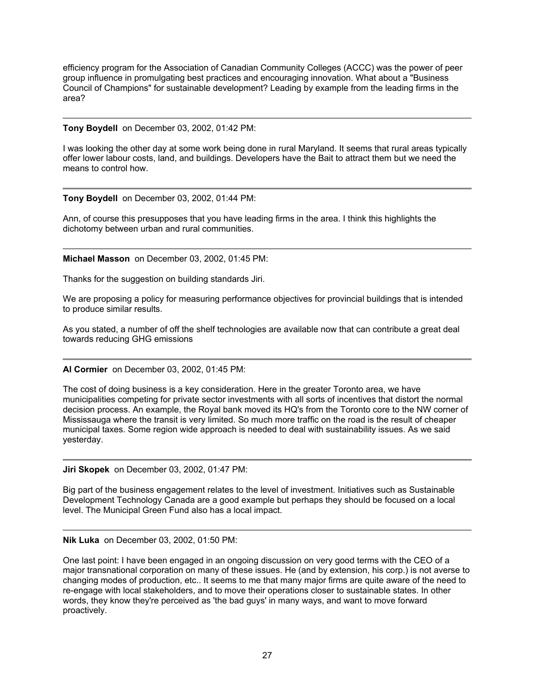efficiency program for the Association of Canadian Community Colleges (ACCC) was the power of peer group influence in promulgating best practices and encouraging innovation. What about a "Business Council of Champions" for sustainable development? Leading by example from the leading firms in the area?

#### **Tony Boydell** on December 03, 2002, 01:42 PM:

I was looking the other day at some work being done in rural Maryland. It seems that rural areas typically offer lower labour costs, land, and buildings. Developers have the Bait to attract them but we need the means to control how.

#### **Tony Boydell** on December 03, 2002, 01:44 PM:

Ann, of course this presupposes that you have leading firms in the area. I think this highlights the dichotomy between urban and rural communities.

#### **Michael Masson** on December 03, 2002, 01:45 PM:

Thanks for the suggestion on building standards Jiri.

We are proposing a policy for measuring performance objectives for provincial buildings that is intended to produce similar results.

As you stated, a number of off the shelf technologies are available now that can contribute a great deal towards reducing GHG emissions

## **Al Cormier** on December 03, 2002, 01:45 PM:

The cost of doing business is a key consideration. Here in the greater Toronto area, we have municipalities competing for private sector investments with all sorts of incentives that distort the normal decision process. An example, the Royal bank moved its HQ's from the Toronto core to the NW corner of Mississauga where the transit is very limited. So much more traffic on the road is the result of cheaper municipal taxes. Some region wide approach is needed to deal with sustainability issues. As we said yesterday.

**Jiri Skopek** on December 03, 2002, 01:47 PM:

Big part of the business engagement relates to the level of investment. Initiatives such as Sustainable Development Technology Canada are a good example but perhaps they should be focused on a local level. The Municipal Green Fund also has a local impact.

#### **Nik Luka** on December 03, 2002, 01:50 PM:

One last point: I have been engaged in an ongoing discussion on very good terms with the CEO of a major transnational corporation on many of these issues. He (and by extension, his corp.) is not averse to changing modes of production, etc.. It seems to me that many major firms are quite aware of the need to re-engage with local stakeholders, and to move their operations closer to sustainable states. In other words, they know they're perceived as 'the bad guys' in many ways, and want to move forward proactively.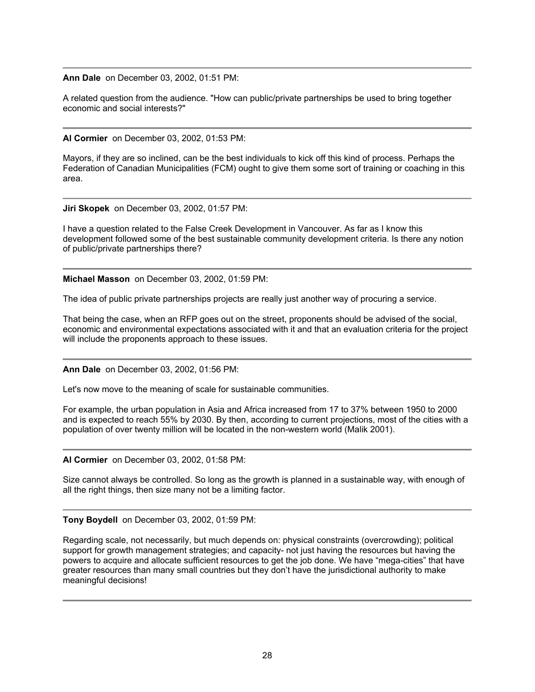**Ann Dale** on December 03, 2002, 01:51 PM:

A related question from the audience. "How can public/private partnerships be used to bring together economic and social interests?"

**Al Cormier** on December 03, 2002, 01:53 PM:

Mayors, if they are so inclined, can be the best individuals to kick off this kind of process. Perhaps the Federation of Canadian Municipalities (FCM) ought to give them some sort of training or coaching in this area.

**Jiri Skopek** on December 03, 2002, 01:57 PM:

I have a question related to the False Creek Development in Vancouver. As far as I know this development followed some of the best sustainable community development criteria. Is there any notion of public/private partnerships there?

**Michael Masson** on December 03, 2002, 01:59 PM:

The idea of public private partnerships projects are really just another way of procuring a service.

That being the case, when an RFP goes out on the street, proponents should be advised of the social, economic and environmental expectations associated with it and that an evaluation criteria for the project will include the proponents approach to these issues.

**Ann Dale** on December 03, 2002, 01:56 PM:

Let's now move to the meaning of scale for sustainable communities.

For example, the urban population in Asia and Africa increased from 17 to 37% between 1950 to 2000 and is expected to reach 55% by 2030. By then, according to current projections, most of the cities with a population of over twenty million will be located in the non-western world (Malik 2001).

**Al Cormier** on December 03, 2002, 01:58 PM:

Size cannot always be controlled. So long as the growth is planned in a sustainable way, with enough of all the right things, then size many not be a limiting factor.

**Tony Boydell** on December 03, 2002, 01:59 PM:

Regarding scale, not necessarily, but much depends on: physical constraints (overcrowding); political support for growth management strategies; and capacity- not just having the resources but having the powers to acquire and allocate sufficient resources to get the job done. We have "mega-cities" that have greater resources than many small countries but they don't have the jurisdictional authority to make meaningful decisions!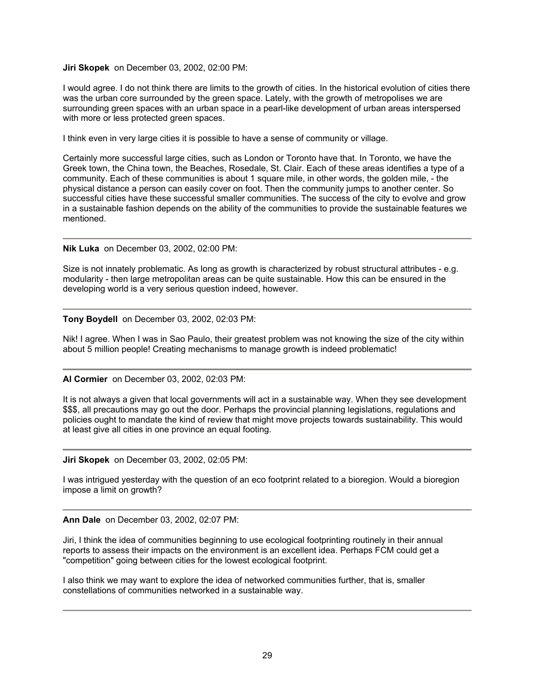## **Jiri Skopek** on December 03, 2002, 02:00 PM:

I would agree. I do not think there are limits to the growth of cities. In the historical evolution of cities there was the urban core surrounded by the green space. Lately, with the growth of metropolises we are surrounding green spaces with an urban space in a pearl-like development of urban areas interspersed with more or less protected green spaces.

I think even in very large cities it is possible to have a sense of community or village.

Certainly more successful large cities, such as London or Toronto have that. In Toronto, we have the Greek town, the China town, the Beaches, Rosedale, St. Clair. Each of these areas identifies a type of a community. Each of these communities is about 1 square mile, in other words, the golden mile, - the physical distance a person can easily cover on foot. Then the community jumps to another center. So successful cities have these successful smaller communities. The success of the city to evolve and grow in a sustainable fashion depends on the ability of the communities to provide the sustainable features we mentioned.

**Nik Luka** on December 03, 2002, 02:00 PM:

Size is not innately problematic. As long as growth is characterized by robust structural attributes - e.g. modularity - then large metropolitan areas can be quite sustainable. How this can be ensured in the developing world is a very serious question indeed, however.

**Tony Boydell** on December 03, 2002, 02:03 PM:

Nik! I agree. When I was in Sao Paulo, their greatest problem was not knowing the size of the city within about 5 million people! Creating mechanisms to manage growth is indeed problematic!

**Al Cormier** on December 03, 2002, 02:03 PM:

It is not always a given that local governments will act in a sustainable way. When they see development \$\$\$, all precautions may go out the door. Perhaps the provincial planning legislations, regulations and policies ought to mandate the kind of review that might move projects towards sustainability. This would at least give all cities in one province an equal footing.

**Jiri Skopek** on December 03, 2002, 02:05 PM:

I was intrigued yesterday with the question of an eco footprint related to a bioregion. Would a bioregion impose a limit on growth?

**Ann Dale** on December 03, 2002, 02:07 PM:

Jiri, I think the idea of communities beginning to use ecological footprinting routinely in their annual reports to assess their impacts on the environment is an excellent idea. Perhaps FCM could get a "competition" going between cities for the lowest ecological footprint.

I also think we may want to explore the idea of networked communities further, that is, smaller constellations of communities networked in a sustainable way.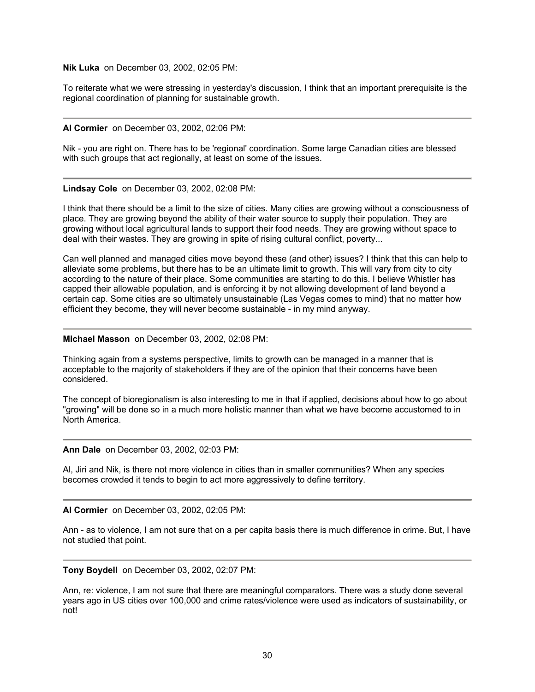**Nik Luka** on December 03, 2002, 02:05 PM:

To reiterate what we were stressing in yesterday's discussion, I think that an important prerequisite is the regional coordination of planning for sustainable growth.

#### **Al Cormier** on December 03, 2002, 02:06 PM:

Nik - you are right on. There has to be 'regional' coordination. Some large Canadian cities are blessed with such groups that act regionally, at least on some of the issues.

**Lindsay Cole** on December 03, 2002, 02:08 PM:

I think that there should be a limit to the size of cities. Many cities are growing without a consciousness of place. They are growing beyond the ability of their water source to supply their population. They are growing without local agricultural lands to support their food needs. They are growing without space to deal with their wastes. They are growing in spite of rising cultural conflict, poverty...

Can well planned and managed cities move beyond these (and other) issues? I think that this can help to alleviate some problems, but there has to be an ultimate limit to growth. This will vary from city to city according to the nature of their place. Some communities are starting to do this. I believe Whistler has capped their allowable population, and is enforcing it by not allowing development of land beyond a certain cap. Some cities are so ultimately unsustainable (Las Vegas comes to mind) that no matter how efficient they become, they will never become sustainable - in my mind anyway.

#### **Michael Masson** on December 03, 2002, 02:08 PM:

Thinking again from a systems perspective, limits to growth can be managed in a manner that is acceptable to the majority of stakeholders if they are of the opinion that their concerns have been considered.

The concept of bioregionalism is also interesting to me in that if applied, decisions about how to go about "growing" will be done so in a much more holistic manner than what we have become accustomed to in North America.

**Ann Dale** on December 03, 2002, 02:03 PM:

Al, Jiri and Nik, is there not more violence in cities than in smaller communities? When any species becomes crowded it tends to begin to act more aggressively to define territory.

**Al Cormier** on December 03, 2002, 02:05 PM:

Ann - as to violence, I am not sure that on a per capita basis there is much difference in crime. But, I have not studied that point.

**Tony Boydell** on December 03, 2002, 02:07 PM:

Ann, re: violence, I am not sure that there are meaningful comparators. There was a study done several years ago in US cities over 100,000 and crime rates/violence were used as indicators of sustainability, or not!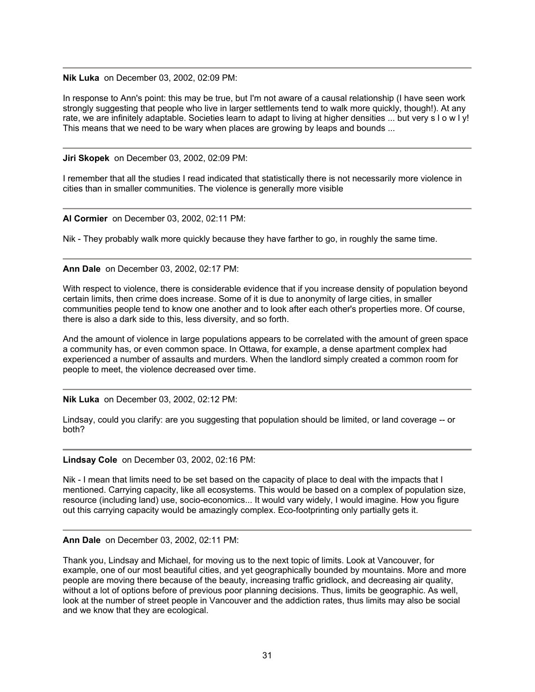**Nik Luka** on December 03, 2002, 02:09 PM:

In response to Ann's point: this may be true, but I'm not aware of a causal relationship (I have seen work strongly suggesting that people who live in larger settlements tend to walk more quickly, though!). At any rate, we are infinitely adaptable. Societies learn to adapt to living at higher densities ... but very s l o w l y! This means that we need to be wary when places are growing by leaps and bounds ...

**Jiri Skopek** on December 03, 2002, 02:09 PM:

I remember that all the studies I read indicated that statistically there is not necessarily more violence in cities than in smaller communities. The violence is generally more visible

**Al Cormier** on December 03, 2002, 02:11 PM:

Nik - They probably walk more quickly because they have farther to go, in roughly the same time.

**Ann Dale** on December 03, 2002, 02:17 PM:

With respect to violence, there is considerable evidence that if you increase density of population beyond certain limits, then crime does increase. Some of it is due to anonymity of large cities, in smaller communities people tend to know one another and to look after each other's properties more. Of course, there is also a dark side to this, less diversity, and so forth.

And the amount of violence in large populations appears to be correlated with the amount of green space a community has, or even common space. In Ottawa, for example, a dense apartment complex had experienced a number of assaults and murders. When the landlord simply created a common room for people to meet, the violence decreased over time.

**Nik Luka** on December 03, 2002, 02:12 PM:

Lindsay, could you clarify: are you suggesting that population should be limited, or land coverage -- or both?

**Lindsay Cole** on December 03, 2002, 02:16 PM:

Nik - I mean that limits need to be set based on the capacity of place to deal with the impacts that I mentioned. Carrying capacity, like all ecosystems. This would be based on a complex of population size, resource (including land) use, socio-economics... It would vary widely, I would imagine. How you figure out this carrying capacity would be amazingly complex. Eco-footprinting only partially gets it.

**Ann Dale** on December 03, 2002, 02:11 PM:

Thank you, Lindsay and Michael, for moving us to the next topic of limits. Look at Vancouver, for example, one of our most beautiful cities, and yet geographically bounded by mountains. More and more people are moving there because of the beauty, increasing traffic gridlock, and decreasing air quality, without a lot of options before of previous poor planning decisions. Thus, limits be geographic. As well, look at the number of street people in Vancouver and the addiction rates, thus limits may also be social and we know that they are ecological.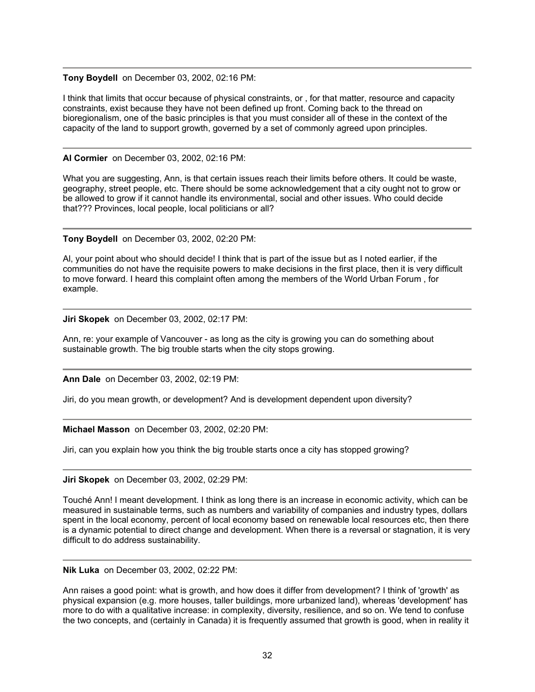#### **Tony Boydell** on December 03, 2002, 02:16 PM:

I think that limits that occur because of physical constraints, or , for that matter, resource and capacity constraints, exist because they have not been defined up front. Coming back to the thread on bioregionalism, one of the basic principles is that you must consider all of these in the context of the capacity of the land to support growth, governed by a set of commonly agreed upon principles.

## **Al Cormier** on December 03, 2002, 02:16 PM:

What you are suggesting, Ann, is that certain issues reach their limits before others. It could be waste, geography, street people, etc. There should be some acknowledgement that a city ought not to grow or be allowed to grow if it cannot handle its environmental, social and other issues. Who could decide that??? Provinces, local people, local politicians or all?

## **Tony Boydell** on December 03, 2002, 02:20 PM:

Al, your point about who should decide! I think that is part of the issue but as I noted earlier, if the communities do not have the requisite powers to make decisions in the first place, then it is very difficult to move forward. I heard this complaint often among the members of the World Urban Forum , for example.

**Jiri Skopek** on December 03, 2002, 02:17 PM:

Ann, re: your example of Vancouver - as long as the city is growing you can do something about sustainable growth. The big trouble starts when the city stops growing.

**Ann Dale** on December 03, 2002, 02:19 PM:

Jiri, do you mean growth, or development? And is development dependent upon diversity?

## **Michael Masson** on December 03, 2002, 02:20 PM:

Jiri, can you explain how you think the big trouble starts once a city has stopped growing?

## **Jiri Skopek** on December 03, 2002, 02:29 PM:

Touché Ann! I meant development. I think as long there is an increase in economic activity, which can be measured in sustainable terms, such as numbers and variability of companies and industry types, dollars spent in the local economy, percent of local economy based on renewable local resources etc, then there is a dynamic potential to direct change and development. When there is a reversal or stagnation, it is very difficult to do address sustainability.

**Nik Luka** on December 03, 2002, 02:22 PM:

Ann raises a good point: what is growth, and how does it differ from development? I think of 'growth' as physical expansion (e.g. more houses, taller buildings, more urbanized land), whereas 'development' has more to do with a qualitative increase: in complexity, diversity, resilience, and so on. We tend to confuse the two concepts, and (certainly in Canada) it is frequently assumed that growth is good, when in reality it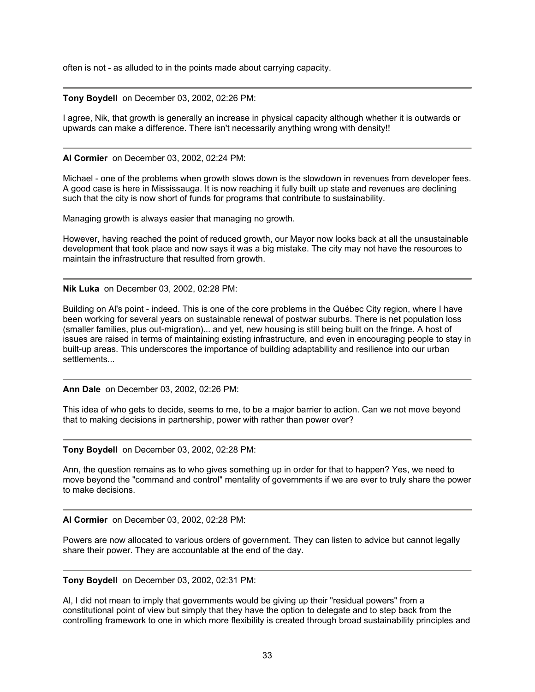often is not - as alluded to in the points made about carrying capacity.

## **Tony Boydell** on December 03, 2002, 02:26 PM:

I agree, Nik, that growth is generally an increase in physical capacity although whether it is outwards or upwards can make a difference. There isn't necessarily anything wrong with density!!

**Al Cormier** on December 03, 2002, 02:24 PM:

Michael - one of the problems when growth slows down is the slowdown in revenues from developer fees. A good case is here in Mississauga. It is now reaching it fully built up state and revenues are declining such that the city is now short of funds for programs that contribute to sustainability.

Managing growth is always easier that managing no growth.

However, having reached the point of reduced growth, our Mayor now looks back at all the unsustainable development that took place and now says it was a big mistake. The city may not have the resources to maintain the infrastructure that resulted from growth.

**Nik Luka** on December 03, 2002, 02:28 PM:

Building on Al's point - indeed. This is one of the core problems in the Québec City region, where I have been working for several years on sustainable renewal of postwar suburbs. There is net population loss (smaller families, plus out-migration)... and yet, new housing is still being built on the fringe. A host of issues are raised in terms of maintaining existing infrastructure, and even in encouraging people to stay in built-up areas. This underscores the importance of building adaptability and resilience into our urban settlements...

**Ann Dale** on December 03, 2002, 02:26 PM:

This idea of who gets to decide, seems to me, to be a major barrier to action. Can we not move beyond that to making decisions in partnership, power with rather than power over?

**Tony Boydell** on December 03, 2002, 02:28 PM:

Ann, the question remains as to who gives something up in order for that to happen? Yes, we need to move beyond the "command and control" mentality of governments if we are ever to truly share the power to make decisions.

**Al Cormier** on December 03, 2002, 02:28 PM:

Powers are now allocated to various orders of government. They can listen to advice but cannot legally share their power. They are accountable at the end of the day.

**Tony Boydell** on December 03, 2002, 02:31 PM:

Al, I did not mean to imply that governments would be giving up their "residual powers" from a constitutional point of view but simply that they have the option to delegate and to step back from the controlling framework to one in which more flexibility is created through broad sustainability principles and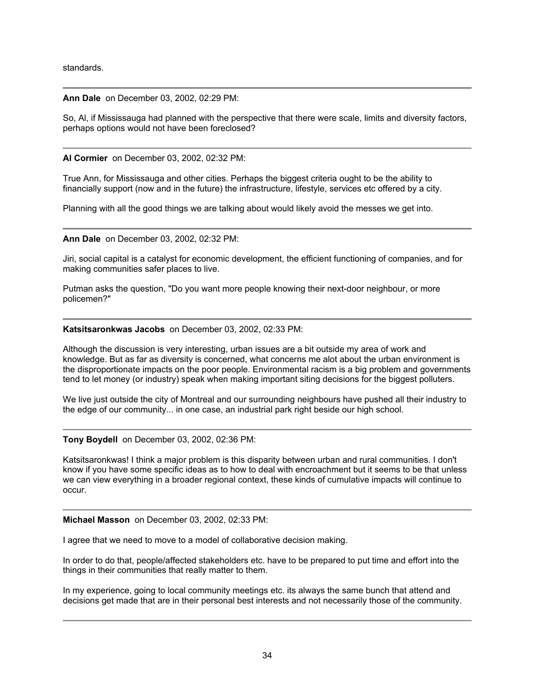standards.

#### **Ann Dale** on December 03, 2002, 02:29 PM:

So, Al, if Mississauga had planned with the perspective that there were scale, limits and diversity factors, perhaps options would not have been foreclosed?

**Al Cormier** on December 03, 2002, 02:32 PM:

True Ann, for Mississauga and other cities. Perhaps the biggest criteria ought to be the ability to financially support (now and in the future) the infrastructure, lifestyle, services etc offered by a city.

Planning with all the good things we are talking about would likely avoid the messes we get into.

**Ann Dale** on December 03, 2002, 02:32 PM:

Jiri, social capital is a catalyst for economic development, the efficient functioning of companies, and for making communities safer places to live.

Putman asks the question, "Do you want more people knowing their next-door neighbour, or more policemen?"

#### **Katsitsaronkwas Jacobs** on December 03, 2002, 02:33 PM:

Although the discussion is very interesting, urban issues are a bit outside my area of work and knowledge. But as far as diversity is concerned, what concerns me alot about the urban environment is the disproportionate impacts on the poor people. Environmental racism is a big problem and governments tend to let money (or industry) speak when making important siting decisions for the biggest polluters.

We live just outside the city of Montreal and our surrounding neighbours have pushed all their industry to the edge of our community... in one case, an industrial park right beside our high school.

## **Tony Boydell** on December 03, 2002, 02:36 PM:

Katsitsaronkwas! I think a major problem is this disparity between urban and rural communities. I don't know if you have some specific ideas as to how to deal with encroachment but it seems to be that unless we can view everything in a broader regional context, these kinds of cumulative impacts will continue to occur.

**Michael Masson** on December 03, 2002, 02:33 PM:

I agree that we need to move to a model of collaborative decision making.

In order to do that, people/affected stakeholders etc. have to be prepared to put time and effort into the things in their communities that really matter to them.

In my experience, going to local community meetings etc. its always the same bunch that attend and decisions get made that are in their personal best interests and not necessarily those of the community.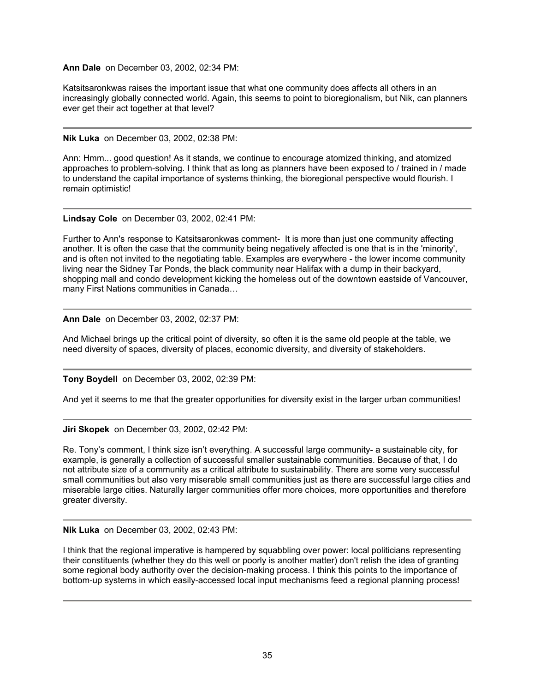## **Ann Dale** on December 03, 2002, 02:34 PM:

Katsitsaronkwas raises the important issue that what one community does affects all others in an increasingly globally connected world. Again, this seems to point to bioregionalism, but Nik, can planners ever get their act together at that level?

# **Nik Luka** on December 03, 2002, 02:38 PM:

Ann: Hmm... good question! As it stands, we continue to encourage atomized thinking, and atomized approaches to problem-solving. I think that as long as planners have been exposed to / trained in / made to understand the capital importance of systems thinking, the bioregional perspective would flourish. I remain optimistic!

**Lindsay Cole** on December 03, 2002, 02:41 PM:

Further to Ann's response to Katsitsaronkwas comment- It is more than just one community affecting another. It is often the case that the community being negatively affected is one that is in the 'minority', and is often not invited to the negotiating table. Examples are everywhere - the lower income community living near the Sidney Tar Ponds, the black community near Halifax with a dump in their backyard, shopping mall and condo development kicking the homeless out of the downtown eastside of Vancouver, many First Nations communities in Canada…

# **Ann Dale** on December 03, 2002, 02:37 PM:

And Michael brings up the critical point of diversity, so often it is the same old people at the table, we need diversity of spaces, diversity of places, economic diversity, and diversity of stakeholders.

**Tony Boydell** on December 03, 2002, 02:39 PM:

And yet it seems to me that the greater opportunities for diversity exist in the larger urban communities!

## **Jiri Skopek** on December 03, 2002, 02:42 PM:

Re. Tony's comment, I think size isn't everything. A successful large community- a sustainable city, for example, is generally a collection of successful smaller sustainable communities. Because of that, I do not attribute size of a community as a critical attribute to sustainability. There are some very successful small communities but also very miserable small communities just as there are successful large cities and miserable large cities. Naturally larger communities offer more choices, more opportunities and therefore greater diversity.

## **Nik Luka** on December 03, 2002, 02:43 PM:

I think that the regional imperative is hampered by squabbling over power: local politicians representing their constituents (whether they do this well or poorly is another matter) don't relish the idea of granting some regional body authority over the decision-making process. I think this points to the importance of bottom-up systems in which easily-accessed local input mechanisms feed a regional planning process!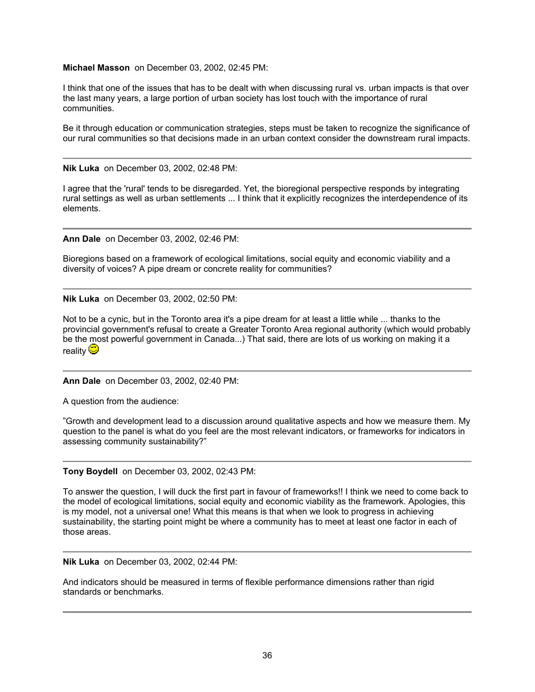## **Michael Masson** on December 03, 2002, 02:45 PM:

I think that one of the issues that has to be dealt with when discussing rural vs. urban impacts is that over the last many years, a large portion of urban society has lost touch with the importance of rural communities.

Be it through education or communication strategies, steps must be taken to recognize the significance of our rural communities so that decisions made in an urban context consider the downstream rural impacts.

**Nik Luka** on December 03, 2002, 02:48 PM:

I agree that the 'rural' tends to be disregarded. Yet, the bioregional perspective responds by integrating rural settings as well as urban settlements ... I think that it explicitly recognizes the interdependence of its elements.

**Ann Dale** on December 03, 2002, 02:46 PM:

Bioregions based on a framework of ecological limitations, social equity and economic viability and a diversity of voices? A pipe dream or concrete reality for communities?

**Nik Luka** on December 03, 2002, 02:50 PM:

Not to be a cynic, but in the Toronto area it's a pipe dream for at least a little while ... thanks to the provincial government's refusal to create a Greater Toronto Area regional authority (which would probably be the most powerful government in Canada...) That said, there are lots of us working on making it a reality  $\ddot{\mathbf{\heartsuit}}$ 

**Ann Dale** on December 03, 2002, 02:40 PM:

A question from the audience:

"Growth and development lead to a discussion around qualitative aspects and how we measure them. My question to the panel is what do you feel are the most relevant indicators, or frameworks for indicators in assessing community sustainability?"

**Tony Boydell** on December 03, 2002, 02:43 PM:

To answer the question, I will duck the first part in favour of frameworks!! I think we need to come back to the model of ecological limitations, social equity and economic viability as the framework. Apologies, this is my model, not a universal one! What this means is that when we look to progress in achieving sustainability, the starting point might be where a community has to meet at least one factor in each of those areas.

**Nik Luka** on December 03, 2002, 02:44 PM:

And indicators should be measured in terms of flexible performance dimensions rather than rigid standards or benchmarks.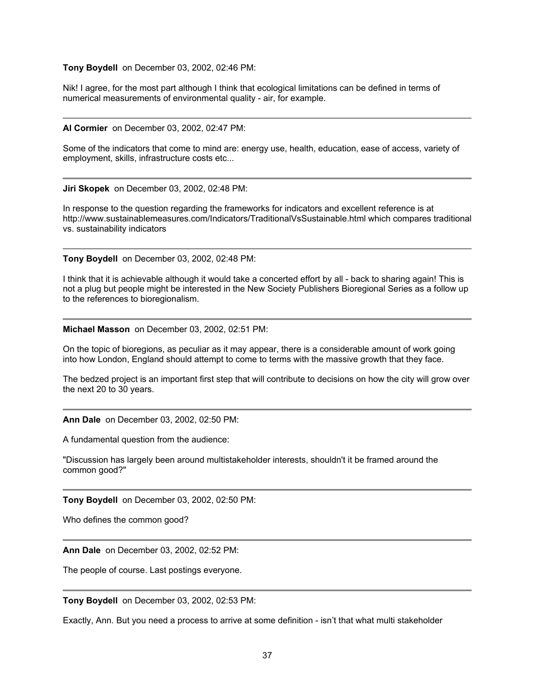#### **Tony Boydell** on December 03, 2002, 02:46 PM:

Nik! I agree, for the most part although I think that ecological limitations can be defined in terms of numerical measurements of environmental quality - air, for example.

#### **Al Cormier** on December 03, 2002, 02:47 PM:

Some of the indicators that come to mind are: energy use, health, education, ease of access, variety of employment, skills, infrastructure costs etc...

**Jiri Skopek** on December 03, 2002, 02:48 PM:

In response to the question regarding the frameworks for indicators and excellent reference is at http://www.sustainablemeasures.com/Indicators/TraditionalVsSustainable.html which compares traditional vs. sustainability indicators

**Tony Boydell** on December 03, 2002, 02:48 PM:

I think that it is achievable although it would take a concerted effort by all - back to sharing again! This is not a plug but people might be interested in the New Society Publishers Bioregional Series as a follow up to the references to bioregionalism.

**Michael Masson** on December 03, 2002, 02:51 PM:

On the topic of bioregions, as peculiar as it may appear, there is a considerable amount of work going into how London, England should attempt to come to terms with the massive growth that they face.

The bedzed project is an important first step that will contribute to decisions on how the city will grow over the next 20 to 30 years.

**Ann Dale** on December 03, 2002, 02:50 PM:

A fundamental question from the audience:

"Discussion has largely been around multistakeholder interests, shouldn't it be framed around the common good?"

**Tony Boydell** on December 03, 2002, 02:50 PM:

Who defines the common good?

**Ann Dale** on December 03, 2002, 02:52 PM:

The people of course. Last postings everyone.

**Tony Boydell** on December 03, 2002, 02:53 PM:

Exactly, Ann. But you need a process to arrive at some definition - isn't that what multi stakeholder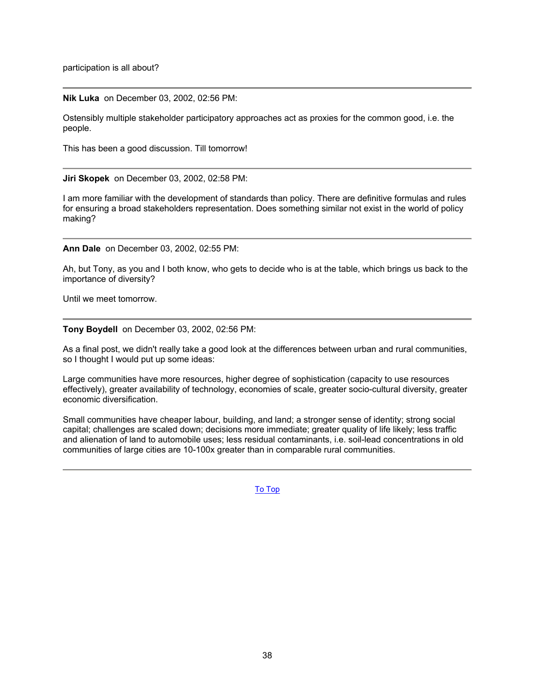participation is all about?

**Nik Luka** on December 03, 2002, 02:56 PM:

Ostensibly multiple stakeholder participatory approaches act as proxies for the common good, i.e. the people.

This has been a good discussion. Till tomorrow!

**Jiri Skopek** on December 03, 2002, 02:58 PM:

I am more familiar with the development of standards than policy. There are definitive formulas and rules for ensuring a broad stakeholders representation. Does something similar not exist in the world of policy making?

**Ann Dale** on December 03, 2002, 02:55 PM:

Ah, but Tony, as you and I both know, who gets to decide who is at the table, which brings us back to the importance of diversity?

Until we meet tomorrow.

**Tony Boydell** on December 03, 2002, 02:56 PM:

As a final post, we didn't really take a good look at the differences between urban and rural communities, so I thought I would put up some ideas:

Large communities have more resources, higher degree of sophistication (capacity to use resources effectively), greater availability of technology, economies of scale, greater socio-cultural diversity, greater economic diversification.

Small communities have cheaper labour, building, and land; a stronger sense of identity; strong social capital; challenges are scaled down; decisions more immediate; greater quality of life likely; less traffic and alienation of land to automobile uses; less residual contaminants, i.e. soil-lead concentrations in old communities of large cities are 10-100x greater than in comparable rural communities.

[To Top](#page-0-0)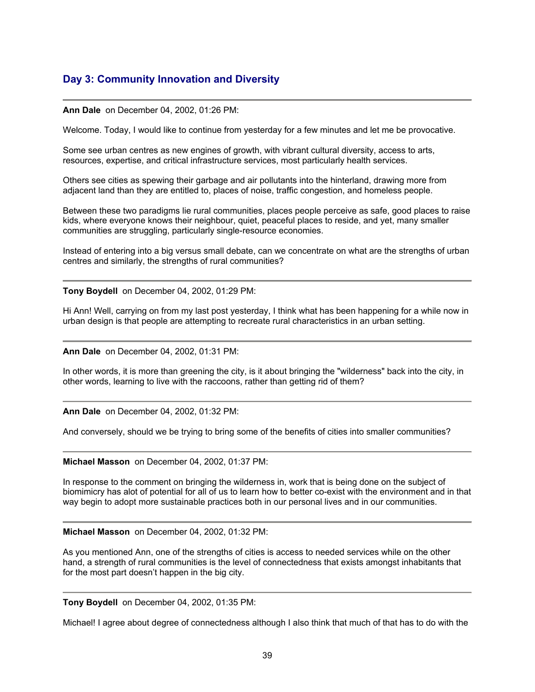# <span id="page-38-0"></span>**Day 3: Community Innovation and Diversity**

#### **Ann Dale** on December 04, 2002, 01:26 PM:

Welcome. Today, I would like to continue from yesterday for a few minutes and let me be provocative.

Some see urban centres as new engines of growth, with vibrant cultural diversity, access to arts, resources, expertise, and critical infrastructure services, most particularly health services.

Others see cities as spewing their garbage and air pollutants into the hinterland, drawing more from adjacent land than they are entitled to, places of noise, traffic congestion, and homeless people.

Between these two paradigms lie rural communities, places people perceive as safe, good places to raise kids, where everyone knows their neighbour, quiet, peaceful places to reside, and yet, many smaller communities are struggling, particularly single-resource economies.

Instead of entering into a big versus small debate, can we concentrate on what are the strengths of urban centres and similarly, the strengths of rural communities?

**Tony Boydell** on December 04, 2002, 01:29 PM:

Hi Ann! Well, carrying on from my last post yesterday, I think what has been happening for a while now in urban design is that people are attempting to recreate rural characteristics in an urban setting.

**Ann Dale** on December 04, 2002, 01:31 PM:

In other words, it is more than greening the city, is it about bringing the "wilderness" back into the city, in other words, learning to live with the raccoons, rather than getting rid of them?

**Ann Dale** on December 04, 2002, 01:32 PM:

And conversely, should we be trying to bring some of the benefits of cities into smaller communities?

**Michael Masson** on December 04, 2002, 01:37 PM:

In response to the comment on bringing the wilderness in, work that is being done on the subject of biomimicry has alot of potential for all of us to learn how to better co-exist with the environment and in that way begin to adopt more sustainable practices both in our personal lives and in our communities.

#### **Michael Masson** on December 04, 2002, 01:32 PM:

As you mentioned Ann, one of the strengths of cities is access to needed services while on the other hand, a strength of rural communities is the level of connectedness that exists amongst inhabitants that for the most part doesn't happen in the big city.

**Tony Boydell** on December 04, 2002, 01:35 PM:

Michael! I agree about degree of connectedness although I also think that much of that has to do with the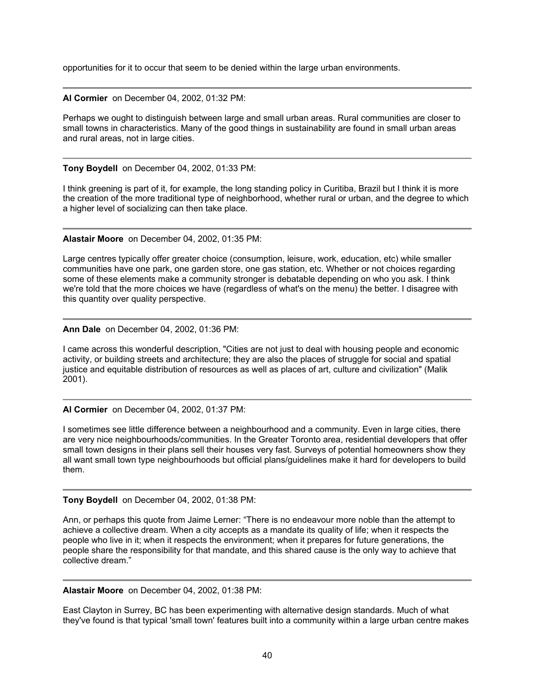opportunities for it to occur that seem to be denied within the large urban environments.

**Al Cormier** on December 04, 2002, 01:32 PM:

Perhaps we ought to distinguish between large and small urban areas. Rural communities are closer to small towns in characteristics. Many of the good things in sustainability are found in small urban areas and rural areas, not in large cities.

**Tony Boydell** on December 04, 2002, 01:33 PM:

I think greening is part of it, for example, the long standing policy in Curitiba, Brazil but I think it is more the creation of the more traditional type of neighborhood, whether rural or urban, and the degree to which a higher level of socializing can then take place.

**Alastair Moore** on December 04, 2002, 01:35 PM:

Large centres typically offer greater choice (consumption, leisure, work, education, etc) while smaller communities have one park, one garden store, one gas station, etc. Whether or not choices regarding some of these elements make a community stronger is debatable depending on who you ask. I think we're told that the more choices we have (regardless of what's on the menu) the better. I disagree with this quantity over quality perspective.

**Ann Dale** on December 04, 2002, 01:36 PM:

I came across this wonderful description, "Cities are not just to deal with housing people and economic activity, or building streets and architecture; they are also the places of struggle for social and spatial justice and equitable distribution of resources as well as places of art, culture and civilization" (Malik 2001).

**Al Cormier** on December 04, 2002, 01:37 PM:

I sometimes see little difference between a neighbourhood and a community. Even in large cities, there are very nice neighbourhoods/communities. In the Greater Toronto area, residential developers that offer small town designs in their plans sell their houses very fast. Surveys of potential homeowners show they all want small town type neighbourhoods but official plans/guidelines make it hard for developers to build them.

**Tony Boydell** on December 04, 2002, 01:38 PM:

Ann, or perhaps this quote from Jaime Lerner: "There is no endeavour more noble than the attempt to achieve a collective dream. When a city accepts as a mandate its quality of life; when it respects the people who live in it; when it respects the environment; when it prepares for future generations, the people share the responsibility for that mandate, and this shared cause is the only way to achieve that collective dream."

**Alastair Moore** on December 04, 2002, 01:38 PM:

East Clayton in Surrey, BC has been experimenting with alternative design standards. Much of what they've found is that typical 'small town' features built into a community within a large urban centre makes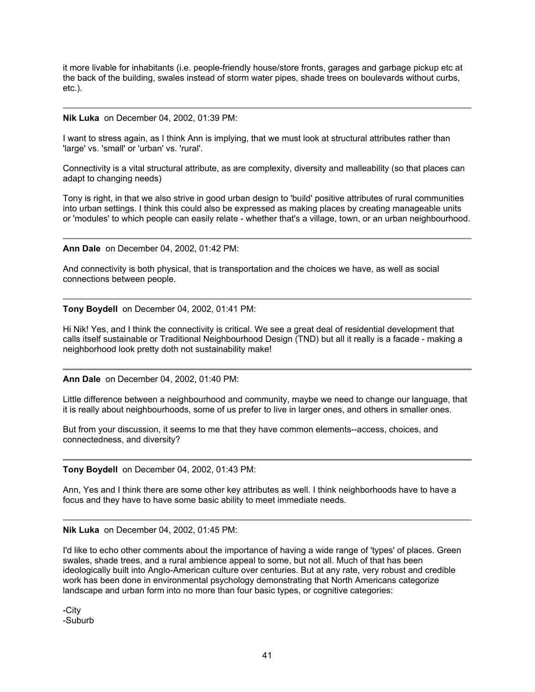it more livable for inhabitants (i.e. people-friendly house/store fronts, garages and garbage pickup etc at the back of the building, swales instead of storm water pipes, shade trees on boulevards without curbs, etc.).

#### **Nik Luka** on December 04, 2002, 01:39 PM:

I want to stress again, as I think Ann is implying, that we must look at structural attributes rather than 'large' vs. 'small' or 'urban' vs. 'rural'.

Connectivity is a vital structural attribute, as are complexity, diversity and malleability (so that places can adapt to changing needs)

Tony is right, in that we also strive in good urban design to 'build' positive attributes of rural communities into urban settings. I think this could also be expressed as making places by creating manageable units or 'modules' to which people can easily relate - whether that's a village, town, or an urban neighbourhood.

#### **Ann Dale** on December 04, 2002, 01:42 PM:

And connectivity is both physical, that is transportation and the choices we have, as well as social connections between people.

**Tony Boydell** on December 04, 2002, 01:41 PM:

Hi Nik! Yes, and I think the connectivity is critical. We see a great deal of residential development that calls itself sustainable or Traditional Neighbourhood Design (TND) but all it really is a facade - making a neighborhood look pretty doth not sustainability make!

**Ann Dale** on December 04, 2002, 01:40 PM:

Little difference between a neighbourhood and community, maybe we need to change our language, that it is really about neighbourhoods, some of us prefer to live in larger ones, and others in smaller ones.

But from your discussion, it seems to me that they have common elements--access, choices, and connectedness, and diversity?

#### **Tony Boydell** on December 04, 2002, 01:43 PM:

Ann, Yes and I think there are some other key attributes as well. I think neighborhoods have to have a focus and they have to have some basic ability to meet immediate needs.

**Nik Luka** on December 04, 2002, 01:45 PM:

I'd like to echo other comments about the importance of having a wide range of 'types' of places. Green swales, shade trees, and a rural ambience appeal to some, but not all. Much of that has been ideologically built into Anglo-American culture over centuries. But at any rate, very robust and credible work has been done in environmental psychology demonstrating that North Americans categorize landscape and urban form into no more than four basic types, or cognitive categories:

-City -Suburb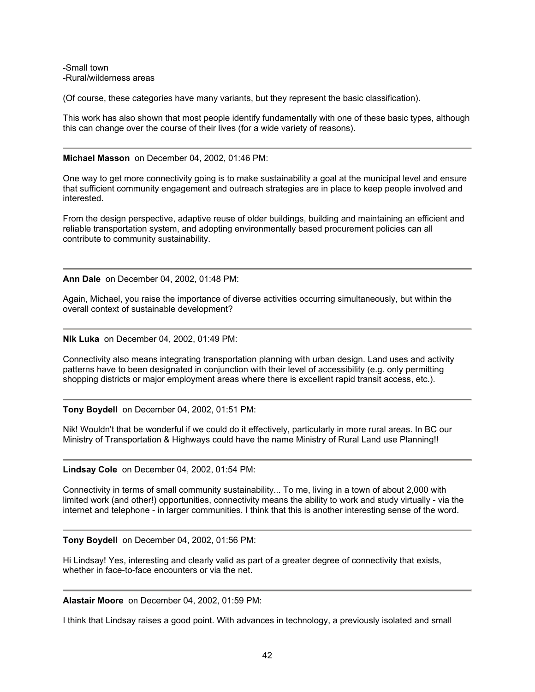-Small town -Rural/wilderness areas

(Of course, these categories have many variants, but they represent the basic classification).

This work has also shown that most people identify fundamentally with one of these basic types, although this can change over the course of their lives (for a wide variety of reasons).

## **Michael Masson** on December 04, 2002, 01:46 PM:

One way to get more connectivity going is to make sustainability a goal at the municipal level and ensure that sufficient community engagement and outreach strategies are in place to keep people involved and interested.

From the design perspective, adaptive reuse of older buildings, building and maintaining an efficient and reliable transportation system, and adopting environmentally based procurement policies can all contribute to community sustainability.

**Ann Dale** on December 04, 2002, 01:48 PM:

Again, Michael, you raise the importance of diverse activities occurring simultaneously, but within the overall context of sustainable development?

**Nik Luka** on December 04, 2002, 01:49 PM:

Connectivity also means integrating transportation planning with urban design. Land uses and activity patterns have to been designated in conjunction with their level of accessibility (e.g. only permitting shopping districts or major employment areas where there is excellent rapid transit access, etc.).

**Tony Boydell** on December 04, 2002, 01:51 PM:

Nik! Wouldn't that be wonderful if we could do it effectively, particularly in more rural areas. In BC our Ministry of Transportation & Highways could have the name Ministry of Rural Land use Planning!!

**Lindsay Cole** on December 04, 2002, 01:54 PM:

Connectivity in terms of small community sustainability... To me, living in a town of about 2,000 with limited work (and other!) opportunities, connectivity means the ability to work and study virtually - via the internet and telephone - in larger communities. I think that this is another interesting sense of the word.

**Tony Boydell** on December 04, 2002, 01:56 PM:

Hi Lindsay! Yes, interesting and clearly valid as part of a greater degree of connectivity that exists, whether in face-to-face encounters or via the net.

**Alastair Moore** on December 04, 2002, 01:59 PM:

I think that Lindsay raises a good point. With advances in technology, a previously isolated and small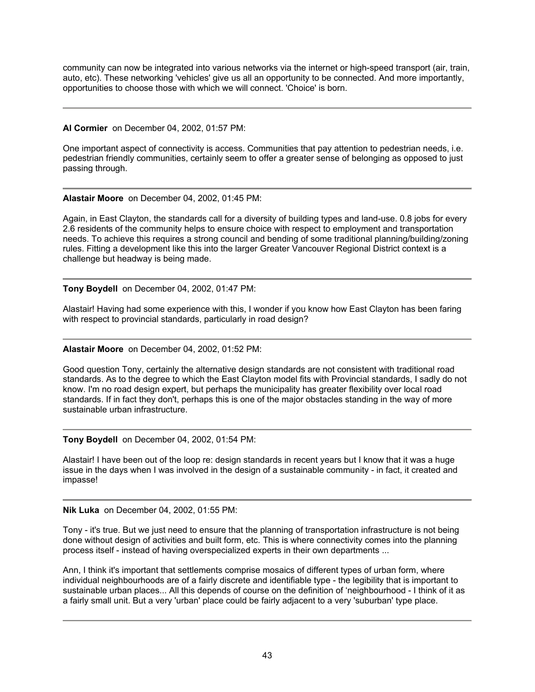community can now be integrated into various networks via the internet or high-speed transport (air, train, auto, etc). These networking 'vehicles' give us all an opportunity to be connected. And more importantly, opportunities to choose those with which we will connect. 'Choice' is born.

# **Al Cormier** on December 04, 2002, 01:57 PM:

One important aspect of connectivity is access. Communities that pay attention to pedestrian needs, i.e. pedestrian friendly communities, certainly seem to offer a greater sense of belonging as opposed to just passing through.

# **Alastair Moore** on December 04, 2002, 01:45 PM:

Again, in East Clayton, the standards call for a diversity of building types and land-use. 0.8 jobs for every 2.6 residents of the community helps to ensure choice with respect to employment and transportation needs. To achieve this requires a strong council and bending of some traditional planning/building/zoning rules. Fitting a development like this into the larger Greater Vancouver Regional District context is a challenge but headway is being made.

**Tony Boydell** on December 04, 2002, 01:47 PM:

Alastair! Having had some experience with this, I wonder if you know how East Clayton has been faring with respect to provincial standards, particularly in road design?

## **Alastair Moore** on December 04, 2002, 01:52 PM:

Good question Tony, certainly the alternative design standards are not consistent with traditional road standards. As to the degree to which the East Clayton model fits with Provincial standards, I sadly do not know. I'm no road design expert, but perhaps the municipality has greater flexibility over local road standards. If in fact they don't, perhaps this is one of the major obstacles standing in the way of more sustainable urban infrastructure.

## **Tony Boydell** on December 04, 2002, 01:54 PM:

Alastair! I have been out of the loop re: design standards in recent years but I know that it was a huge issue in the days when I was involved in the design of a sustainable community - in fact, it created and impasse!

**Nik Luka** on December 04, 2002, 01:55 PM:

Tony - it's true. But we just need to ensure that the planning of transportation infrastructure is not being done without design of activities and built form, etc. This is where connectivity comes into the planning process itself - instead of having overspecialized experts in their own departments ...

Ann, I think it's important that settlements comprise mosaics of different types of urban form, where individual neighbourhoods are of a fairly discrete and identifiable type - the legibility that is important to sustainable urban places... All this depends of course on the definition of 'neighbourhood - I think of it as a fairly small unit. But a very 'urban' place could be fairly adjacent to a very 'suburban' type place.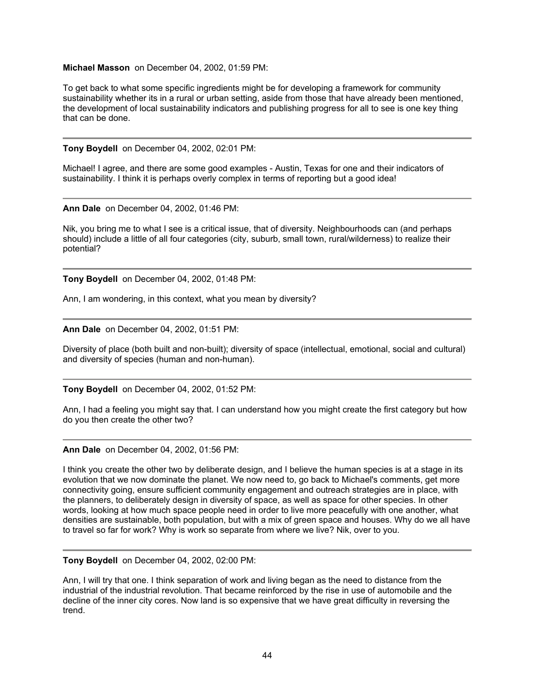## **Michael Masson** on December 04, 2002, 01:59 PM:

To get back to what some specific ingredients might be for developing a framework for community sustainability whether its in a rural or urban setting, aside from those that have already been mentioned, the development of local sustainability indicators and publishing progress for all to see is one key thing that can be done.

**Tony Boydell** on December 04, 2002, 02:01 PM:

Michael! I agree, and there are some good examples - Austin, Texas for one and their indicators of sustainability. I think it is perhaps overly complex in terms of reporting but a good idea!

**Ann Dale** on December 04, 2002, 01:46 PM:

Nik, you bring me to what I see is a critical issue, that of diversity. Neighbourhoods can (and perhaps should) include a little of all four categories (city, suburb, small town, rural/wilderness) to realize their potential?

**Tony Boydell** on December 04, 2002, 01:48 PM:

Ann, I am wondering, in this context, what you mean by diversity?

**Ann Dale** on December 04, 2002, 01:51 PM:

Diversity of place (both built and non-built); diversity of space (intellectual, emotional, social and cultural) and diversity of species (human and non-human).

**Tony Boydell** on December 04, 2002, 01:52 PM:

Ann, I had a feeling you might say that. I can understand how you might create the first category but how do you then create the other two?

**Ann Dale** on December 04, 2002, 01:56 PM:

I think you create the other two by deliberate design, and I believe the human species is at a stage in its evolution that we now dominate the planet. We now need to, go back to Michael's comments, get more connectivity going, ensure sufficient community engagement and outreach strategies are in place, with the planners, to deliberately design in diversity of space, as well as space for other species. In other words, looking at how much space people need in order to live more peacefully with one another, what densities are sustainable, both population, but with a mix of green space and houses. Why do we all have to travel so far for work? Why is work so separate from where we live? Nik, over to you.

**Tony Boydell** on December 04, 2002, 02:00 PM:

Ann, I will try that one. I think separation of work and living began as the need to distance from the industrial of the industrial revolution. That became reinforced by the rise in use of automobile and the decline of the inner city cores. Now land is so expensive that we have great difficulty in reversing the trend.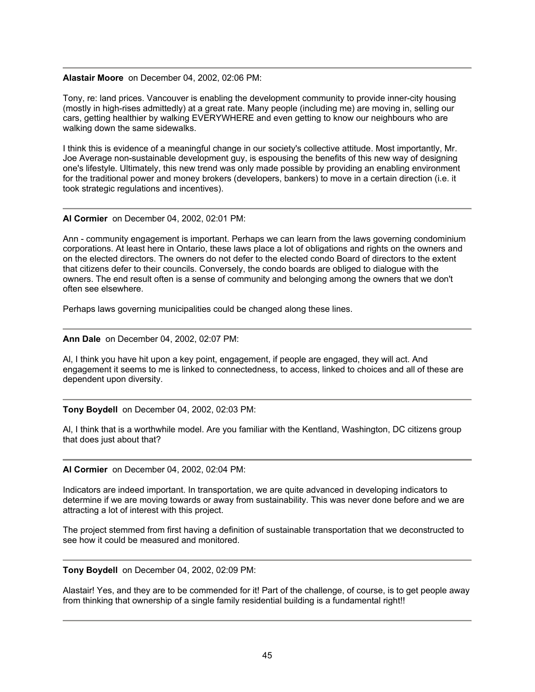#### **Alastair Moore** on December 04, 2002, 02:06 PM:

Tony, re: land prices. Vancouver is enabling the development community to provide inner-city housing (mostly in high-rises admittedly) at a great rate. Many people (including me) are moving in, selling our cars, getting healthier by walking EVERYWHERE and even getting to know our neighbours who are walking down the same sidewalks.

I think this is evidence of a meaningful change in our society's collective attitude. Most importantly, Mr. Joe Average non-sustainable development guy, is espousing the benefits of this new way of designing one's lifestyle. Ultimately, this new trend was only made possible by providing an enabling environment for the traditional power and money brokers (developers, bankers) to move in a certain direction (i.e. it took strategic regulations and incentives).

## **Al Cormier** on December 04, 2002, 02:01 PM:

Ann - community engagement is important. Perhaps we can learn from the laws governing condominium corporations. At least here in Ontario, these laws place a lot of obligations and rights on the owners and on the elected directors. The owners do not defer to the elected condo Board of directors to the extent that citizens defer to their councils. Conversely, the condo boards are obliged to dialogue with the owners. The end result often is a sense of community and belonging among the owners that we don't often see elsewhere.

Perhaps laws governing municipalities could be changed along these lines.

## **Ann Dale** on December 04, 2002, 02:07 PM:

Al, I think you have hit upon a key point, engagement, if people are engaged, they will act. And engagement it seems to me is linked to connectedness, to access, linked to choices and all of these are dependent upon diversity.

## **Tony Boydell** on December 04, 2002, 02:03 PM:

Al, I think that is a worthwhile model. Are you familiar with the Kentland, Washington, DC citizens group that does just about that?

## **Al Cormier** on December 04, 2002, 02:04 PM:

Indicators are indeed important. In transportation, we are quite advanced in developing indicators to determine if we are moving towards or away from sustainability. This was never done before and we are attracting a lot of interest with this project.

The project stemmed from first having a definition of sustainable transportation that we deconstructed to see how it could be measured and monitored.

## **Tony Boydell** on December 04, 2002, 02:09 PM:

Alastair! Yes, and they are to be commended for it! Part of the challenge, of course, is to get people away from thinking that ownership of a single family residential building is a fundamental right!!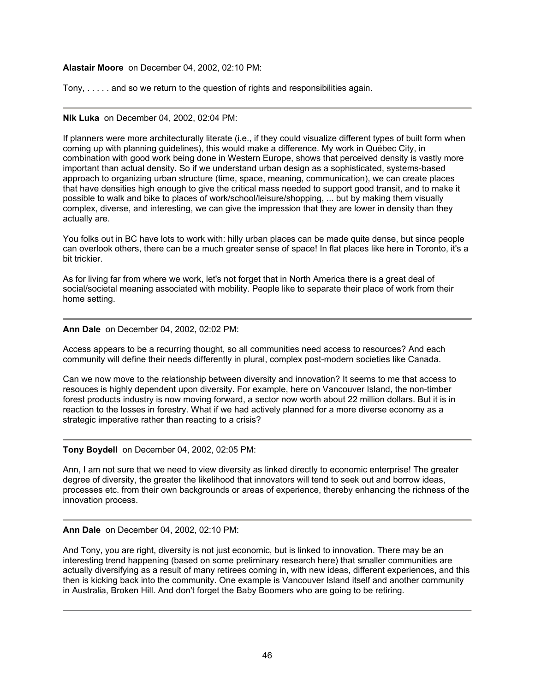# **Alastair Moore** on December 04, 2002, 02:10 PM:

Tony, . . . . . and so we return to the question of rights and responsibilities again.

## **Nik Luka** on December 04, 2002, 02:04 PM:

If planners were more architecturally literate (i.e., if they could visualize different types of built form when coming up with planning guidelines), this would make a difference. My work in Québec City, in combination with good work being done in Western Europe, shows that perceived density is vastly more important than actual density. So if we understand urban design as a sophisticated, systems-based approach to organizing urban structure (time, space, meaning, communication), we can create places that have densities high enough to give the critical mass needed to support good transit, and to make it possible to walk and bike to places of work/school/leisure/shopping, ... but by making them visually complex, diverse, and interesting, we can give the impression that they are lower in density than they actually are.

You folks out in BC have lots to work with: hilly urban places can be made quite dense, but since people can overlook others, there can be a much greater sense of space! In flat places like here in Toronto, it's a bit trickier.

As for living far from where we work, let's not forget that in North America there is a great deal of social/societal meaning associated with mobility. People like to separate their place of work from their home setting.

# **Ann Dale** on December 04, 2002, 02:02 PM:

Access appears to be a recurring thought, so all communities need access to resources? And each community will define their needs differently in plural, complex post-modern societies like Canada.

Can we now move to the relationship between diversity and innovation? It seems to me that access to resouces is highly dependent upon diversity. For example, here on Vancouver Island, the non-timber forest products industry is now moving forward, a sector now worth about 22 million dollars. But it is in reaction to the losses in forestry. What if we had actively planned for a more diverse economy as a strategic imperative rather than reacting to a crisis?

## **Tony Boydell** on December 04, 2002, 02:05 PM:

Ann, I am not sure that we need to view diversity as linked directly to economic enterprise! The greater degree of diversity, the greater the likelihood that innovators will tend to seek out and borrow ideas, processes etc. from their own backgrounds or areas of experience, thereby enhancing the richness of the innovation process.

## **Ann Dale** on December 04, 2002, 02:10 PM:

And Tony, you are right, diversity is not just economic, but is linked to innovation. There may be an interesting trend happening (based on some preliminary research here) that smaller communities are actually diversifying as a result of many retirees coming in, with new ideas, different experiences, and this then is kicking back into the community. One example is Vancouver Island itself and another community in Australia, Broken Hill. And don't forget the Baby Boomers who are going to be retiring.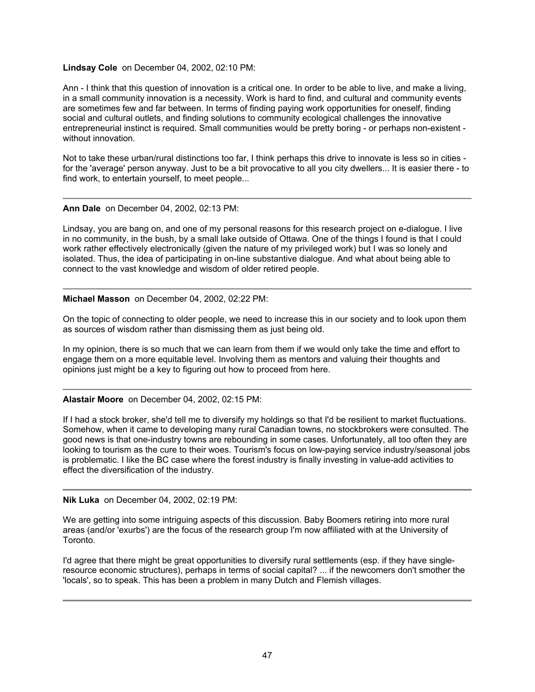# **Lindsay Cole** on December 04, 2002, 02:10 PM:

Ann - I think that this question of innovation is a critical one. In order to be able to live, and make a living, in a small community innovation is a necessity. Work is hard to find, and cultural and community events are sometimes few and far between. In terms of finding paying work opportunities for oneself, finding social and cultural outlets, and finding solutions to community ecological challenges the innovative entrepreneurial instinct is required. Small communities would be pretty boring - or perhaps non-existent without innovation.

Not to take these urban/rural distinctions too far, I think perhaps this drive to innovate is less so in cities for the 'average' person anyway. Just to be a bit provocative to all you city dwellers... It is easier there - to find work, to entertain yourself, to meet people...

#### **Ann Dale** on December 04, 2002, 02:13 PM:

Lindsay, you are bang on, and one of my personal reasons for this research project on e-dialogue. I live in no community, in the bush, by a small lake outside of Ottawa. One of the things I found is that I could work rather effectively electronically (given the nature of my privileged work) but I was so lonely and isolated. Thus, the idea of participating in on-line substantive dialogue. And what about being able to connect to the vast knowledge and wisdom of older retired people.

#### **Michael Masson** on December 04, 2002, 02:22 PM:

On the topic of connecting to older people, we need to increase this in our society and to look upon them as sources of wisdom rather than dismissing them as just being old.

In my opinion, there is so much that we can learn from them if we would only take the time and effort to engage them on a more equitable level. Involving them as mentors and valuing their thoughts and opinions just might be a key to figuring out how to proceed from here.

## **Alastair Moore** on December 04, 2002, 02:15 PM:

If I had a stock broker, she'd tell me to diversify my holdings so that I'd be resilient to market fluctuations. Somehow, when it came to developing many rural Canadian towns, no stockbrokers were consulted. The good news is that one-industry towns are rebounding in some cases. Unfortunately, all too often they are looking to tourism as the cure to their woes. Tourism's focus on low-paying service industry/seasonal jobs is problematic. I like the BC case where the forest industry is finally investing in value-add activities to effect the diversification of the industry.

#### **Nik Luka** on December 04, 2002, 02:19 PM:

We are getting into some intriguing aspects of this discussion. Baby Boomers retiring into more rural areas (and/or 'exurbs') are the focus of the research group I'm now affiliated with at the University of Toronto.

I'd agree that there might be great opportunities to diversify rural settlements (esp. if they have singleresource economic structures), perhaps in terms of social capital? ... if the newcomers don't smother the 'locals', so to speak. This has been a problem in many Dutch and Flemish villages.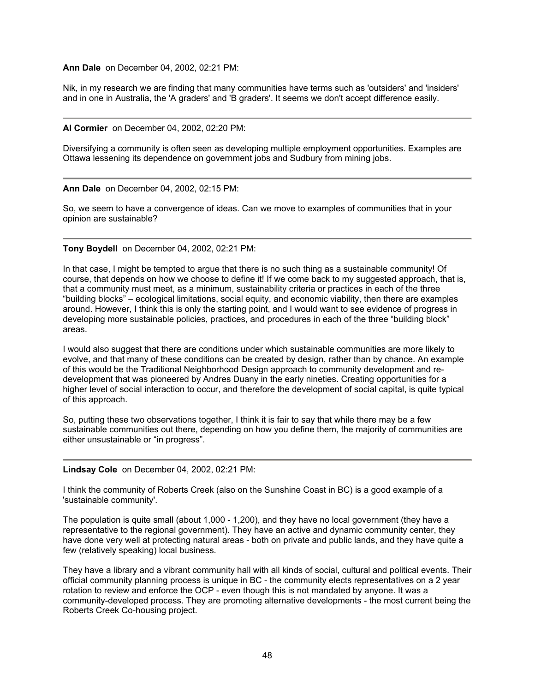**Ann Dale** on December 04, 2002, 02:21 PM:

Nik, in my research we are finding that many communities have terms such as 'outsiders' and 'insiders' and in one in Australia, the 'A graders' and 'B graders'. It seems we don't accept difference easily.

**Al Cormier** on December 04, 2002, 02:20 PM:

Diversifying a community is often seen as developing multiple employment opportunities. Examples are Ottawa lessening its dependence on government jobs and Sudbury from mining jobs.

**Ann Dale** on December 04, 2002, 02:15 PM:

So, we seem to have a convergence of ideas. Can we move to examples of communities that in your opinion are sustainable?

**Tony Boydell** on December 04, 2002, 02:21 PM:

In that case, I might be tempted to argue that there is no such thing as a sustainable community! Of course, that depends on how we choose to define it! If we come back to my suggested approach, that is, that a community must meet, as a minimum, sustainability criteria or practices in each of the three "building blocks" – ecological limitations, social equity, and economic viability, then there are examples around. However, I think this is only the starting point, and I would want to see evidence of progress in developing more sustainable policies, practices, and procedures in each of the three "building block" areas.

I would also suggest that there are conditions under which sustainable communities are more likely to evolve, and that many of these conditions can be created by design, rather than by chance. An example of this would be the Traditional Neighborhood Design approach to community development and redevelopment that was pioneered by Andres Duany in the early nineties. Creating opportunities for a higher level of social interaction to occur, and therefore the development of social capital, is quite typical of this approach.

So, putting these two observations together, I think it is fair to say that while there may be a few sustainable communities out there, depending on how you define them, the majority of communities are either unsustainable or "in progress".

**Lindsay Cole** on December 04, 2002, 02:21 PM:

I think the community of Roberts Creek (also on the Sunshine Coast in BC) is a good example of a 'sustainable community'.

The population is quite small (about 1,000 - 1,200), and they have no local government (they have a representative to the regional government). They have an active and dynamic community center, they have done very well at protecting natural areas - both on private and public lands, and they have quite a few (relatively speaking) local business.

They have a library and a vibrant community hall with all kinds of social, cultural and political events. Their official community planning process is unique in BC - the community elects representatives on a 2 year rotation to review and enforce the OCP - even though this is not mandated by anyone. It was a community-developed process. They are promoting alternative developments - the most current being the Roberts Creek Co-housing project.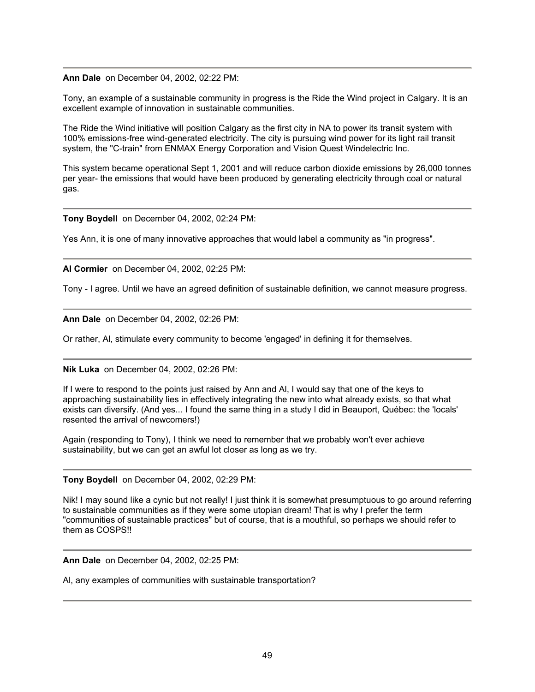**Ann Dale** on December 04, 2002, 02:22 PM:

Tony, an example of a sustainable community in progress is the Ride the Wind project in Calgary. It is an excellent example of innovation in sustainable communities.

The Ride the Wind initiative will position Calgary as the first city in NA to power its transit system with 100% emissions-free wind-generated electricity. The city is pursuing wind power for its light rail transit system, the "C-train" from ENMAX Energy Corporation and Vision Quest Windelectric Inc.

This system became operational Sept 1, 2001 and will reduce carbon dioxide emissions by 26,000 tonnes per year- the emissions that would have been produced by generating electricity through coal or natural gas.

**Tony Boydell** on December 04, 2002, 02:24 PM:

Yes Ann, it is one of many innovative approaches that would label a community as "in progress".

**Al Cormier** on December 04, 2002, 02:25 PM:

Tony - I agree. Until we have an agreed definition of sustainable definition, we cannot measure progress.

**Ann Dale** on December 04, 2002, 02:26 PM:

Or rather, Al, stimulate every community to become 'engaged' in defining it for themselves.

**Nik Luka** on December 04, 2002, 02:26 PM:

If I were to respond to the points just raised by Ann and Al, I would say that one of the keys to approaching sustainability lies in effectively integrating the new into what already exists, so that what exists can diversify. (And yes... I found the same thing in a study I did in Beauport, Québec: the 'locals' resented the arrival of newcomers!)

Again (responding to Tony), I think we need to remember that we probably won't ever achieve sustainability, but we can get an awful lot closer as long as we try.

**Tony Boydell** on December 04, 2002, 02:29 PM:

Nik! I may sound like a cynic but not really! I just think it is somewhat presumptuous to go around referring to sustainable communities as if they were some utopian dream! That is why I prefer the term "communities of sustainable practices" but of course, that is a mouthful, so perhaps we should refer to them as COSPS!!

**Ann Dale** on December 04, 2002, 02:25 PM:

Al, any examples of communities with sustainable transportation?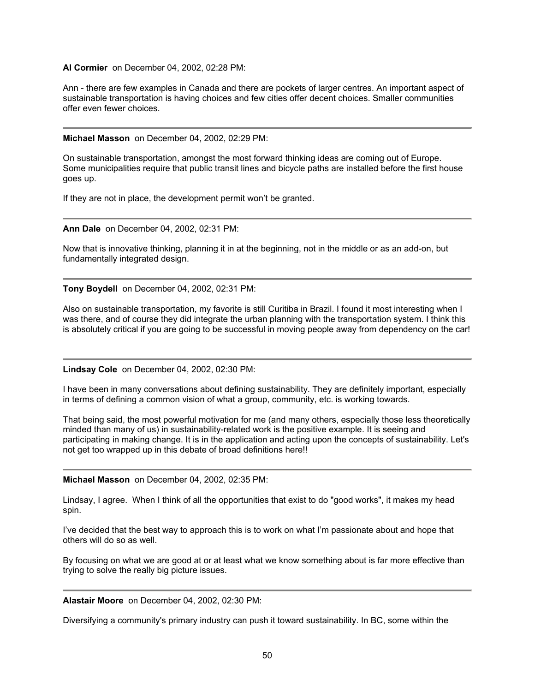#### **Al Cormier** on December 04, 2002, 02:28 PM:

Ann - there are few examples in Canada and there are pockets of larger centres. An important aspect of sustainable transportation is having choices and few cities offer decent choices. Smaller communities offer even fewer choices.

#### **Michael Masson** on December 04, 2002, 02:29 PM:

On sustainable transportation, amongst the most forward thinking ideas are coming out of Europe. Some municipalities require that public transit lines and bicycle paths are installed before the first house goes up.

If they are not in place, the development permit won't be granted.

**Ann Dale** on December 04, 2002, 02:31 PM:

Now that is innovative thinking, planning it in at the beginning, not in the middle or as an add-on, but fundamentally integrated design.

**Tony Boydell** on December 04, 2002, 02:31 PM:

Also on sustainable transportation, my favorite is still Curitiba in Brazil. I found it most interesting when I was there, and of course they did integrate the urban planning with the transportation system. I think this is absolutely critical if you are going to be successful in moving people away from dependency on the car!

## **Lindsay Cole** on December 04, 2002, 02:30 PM:

I have been in many conversations about defining sustainability. They are definitely important, especially in terms of defining a common vision of what a group, community, etc. is working towards.

That being said, the most powerful motivation for me (and many others, especially those less theoretically minded than many of us) in sustainability-related work is the positive example. It is seeing and participating in making change. It is in the application and acting upon the concepts of sustainability. Let's not get too wrapped up in this debate of broad definitions here!!

#### **Michael Masson** on December 04, 2002, 02:35 PM:

Lindsay, I agree. When I think of all the opportunities that exist to do "good works", it makes my head spin.

I've decided that the best way to approach this is to work on what I'm passionate about and hope that others will do so as well.

By focusing on what we are good at or at least what we know something about is far more effective than trying to solve the really big picture issues.

**Alastair Moore** on December 04, 2002, 02:30 PM:

Diversifying a community's primary industry can push it toward sustainability. In BC, some within the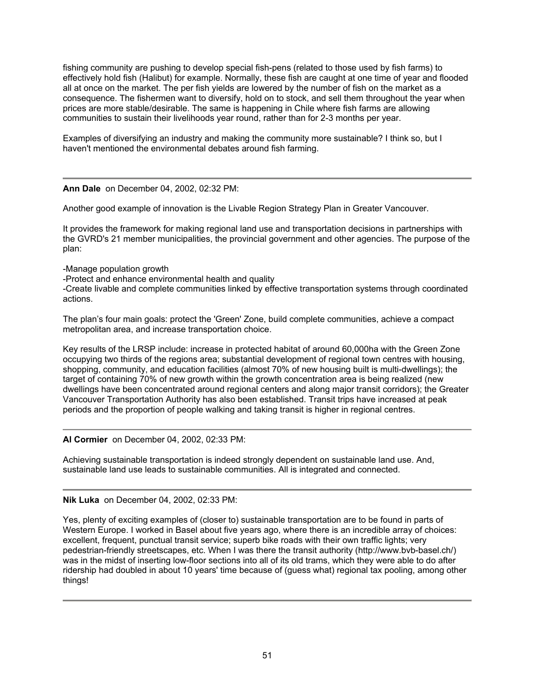fishing community are pushing to develop special fish-pens (related to those used by fish farms) to effectively hold fish (Halibut) for example. Normally, these fish are caught at one time of year and flooded all at once on the market. The per fish yields are lowered by the number of fish on the market as a consequence. The fishermen want to diversify, hold on to stock, and sell them throughout the year when prices are more stable/desirable. The same is happening in Chile where fish farms are allowing communities to sustain their livelihoods year round, rather than for 2-3 months per year.

Examples of diversifying an industry and making the community more sustainable? I think so, but I haven't mentioned the environmental debates around fish farming.

**Ann Dale** on December 04, 2002, 02:32 PM:

Another good example of innovation is the Livable Region Strategy Plan in Greater Vancouver.

It provides the framework for making regional land use and transportation decisions in partnerships with the GVRD's 21 member municipalities, the provincial government and other agencies. The purpose of the plan:

-Manage population growth

-Protect and enhance environmental health and quality

-Create livable and complete communities linked by effective transportation systems through coordinated actions.

The plan's four main goals: protect the 'Green' Zone, build complete communities, achieve a compact metropolitan area, and increase transportation choice.

Key results of the LRSP include: increase in protected habitat of around 60,000ha with the Green Zone occupying two thirds of the regions area; substantial development of regional town centres with housing, shopping, community, and education facilities (almost 70% of new housing built is multi-dwellings); the target of containing 70% of new growth within the growth concentration area is being realized (new dwellings have been concentrated around regional centers and along major transit corridors); the Greater Vancouver Transportation Authority has also been established. Transit trips have increased at peak periods and the proportion of people walking and taking transit is higher in regional centres.

**Al Cormier** on December 04, 2002, 02:33 PM:

Achieving sustainable transportation is indeed strongly dependent on sustainable land use. And, sustainable land use leads to sustainable communities. All is integrated and connected.

# **Nik Luka** on December 04, 2002, 02:33 PM:

Yes, plenty of exciting examples of (closer to) sustainable transportation are to be found in parts of Western Europe. I worked in Basel about five years ago, where there is an incredible array of choices: excellent, frequent, punctual transit service; superb bike roads with their own traffic lights; very pedestrian-friendly streetscapes, etc. When I was there the transit authority (http://www.bvb-basel.ch/) was in the midst of inserting low-floor sections into all of its old trams, which they were able to do after ridership had doubled in about 10 years' time because of (guess what) regional tax pooling, among other things!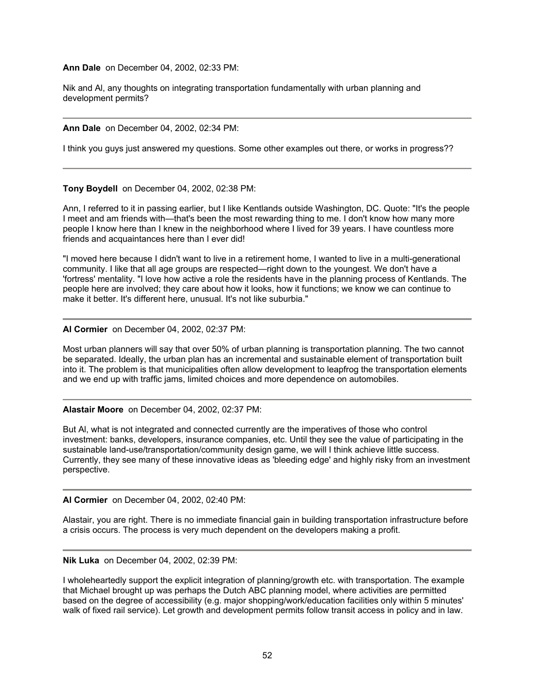**Ann Dale** on December 04, 2002, 02:33 PM:

Nik and Al, any thoughts on integrating transportation fundamentally with urban planning and development permits?

**Ann Dale** on December 04, 2002, 02:34 PM:

I think you guys just answered my questions. Some other examples out there, or works in progress??

**Tony Boydell** on December 04, 2002, 02:38 PM:

Ann, I referred to it in passing earlier, but I like Kentlands outside Washington, DC. Quote: "It's the people I meet and am friends with—that's been the most rewarding thing to me. I don't know how many more people I know here than I knew in the neighborhood where I lived for 39 years. I have countless more friends and acquaintances here than I ever did!

"I moved here because I didn't want to live in a retirement home, I wanted to live in a multi-generational community. I like that all age groups are respected—right down to the youngest. We don't have a 'fortress' mentality. "I love how active a role the residents have in the planning process of Kentlands. The people here are involved; they care about how it looks, how it functions; we know we can continue to make it better. It's different here, unusual. It's not like suburbia."

#### **Al Cormier** on December 04, 2002, 02:37 PM:

Most urban planners will say that over 50% of urban planning is transportation planning. The two cannot be separated. Ideally, the urban plan has an incremental and sustainable element of transportation built into it. The problem is that municipalities often allow development to leapfrog the transportation elements and we end up with traffic jams, limited choices and more dependence on automobiles.

#### **Alastair Moore** on December 04, 2002, 02:37 PM:

But Al, what is not integrated and connected currently are the imperatives of those who control investment: banks, developers, insurance companies, etc. Until they see the value of participating in the sustainable land-use/transportation/community design game, we will I think achieve little success. Currently, they see many of these innovative ideas as 'bleeding edge' and highly risky from an investment perspective.

**Al Cormier** on December 04, 2002, 02:40 PM:

Alastair, you are right. There is no immediate financial gain in building transportation infrastructure before a crisis occurs. The process is very much dependent on the developers making a profit.

**Nik Luka** on December 04, 2002, 02:39 PM:

I wholeheartedly support the explicit integration of planning/growth etc. with transportation. The example that Michael brought up was perhaps the Dutch ABC planning model, where activities are permitted based on the degree of accessibility (e.g. major shopping/work/education facilities only within 5 minutes' walk of fixed rail service). Let growth and development permits follow transit access in policy and in law.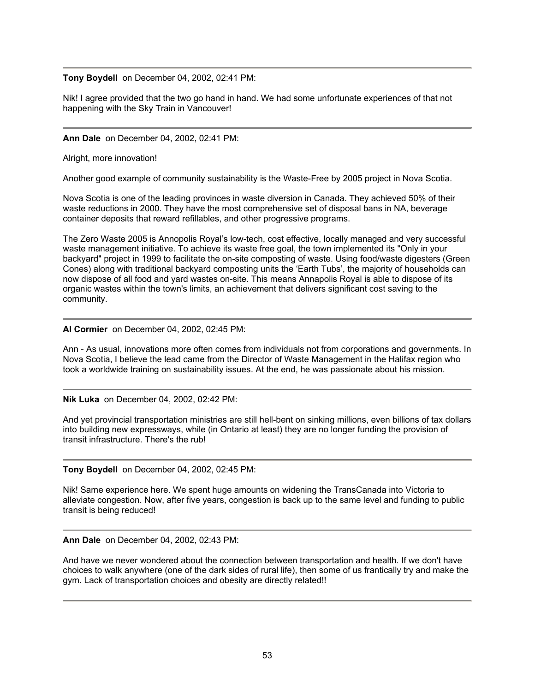## **Tony Boydell** on December 04, 2002, 02:41 PM:

Nik! I agree provided that the two go hand in hand. We had some unfortunate experiences of that not happening with the Sky Train in Vancouver!

#### **Ann Dale** on December 04, 2002, 02:41 PM:

Alright, more innovation!

Another good example of community sustainability is the Waste-Free by 2005 project in Nova Scotia.

Nova Scotia is one of the leading provinces in waste diversion in Canada. They achieved 50% of their waste reductions in 2000. They have the most comprehensive set of disposal bans in NA, beverage container deposits that reward refillables, and other progressive programs.

The Zero Waste 2005 is Annopolis Royal's low-tech, cost effective, locally managed and very successful waste management initiative. To achieve its waste free goal, the town implemented its "Only in your backyard" project in 1999 to facilitate the on-site composting of waste. Using food/waste digesters (Green Cones) along with traditional backyard composting units the 'Earth Tubs', the majority of households can now dispose of all food and yard wastes on-site. This means Annapolis Royal is able to dispose of its organic wastes within the town's limits, an achievement that delivers significant cost saving to the community.

## **Al Cormier** on December 04, 2002, 02:45 PM:

Ann - As usual, innovations more often comes from individuals not from corporations and governments. In Nova Scotia, I believe the lead came from the Director of Waste Management in the Halifax region who took a worldwide training on sustainability issues. At the end, he was passionate about his mission.

**Nik Luka** on December 04, 2002, 02:42 PM:

And yet provincial transportation ministries are still hell-bent on sinking millions, even billions of tax dollars into building new expressways, while (in Ontario at least) they are no longer funding the provision of transit infrastructure. There's the rub!

## **Tony Boydell** on December 04, 2002, 02:45 PM:

Nik! Same experience here. We spent huge amounts on widening the TransCanada into Victoria to alleviate congestion. Now, after five years, congestion is back up to the same level and funding to public transit is being reduced!

**Ann Dale** on December 04, 2002, 02:43 PM:

And have we never wondered about the connection between transportation and health. If we don't have choices to walk anywhere (one of the dark sides of rural life), then some of us frantically try and make the gym. Lack of transportation choices and obesity are directly related!!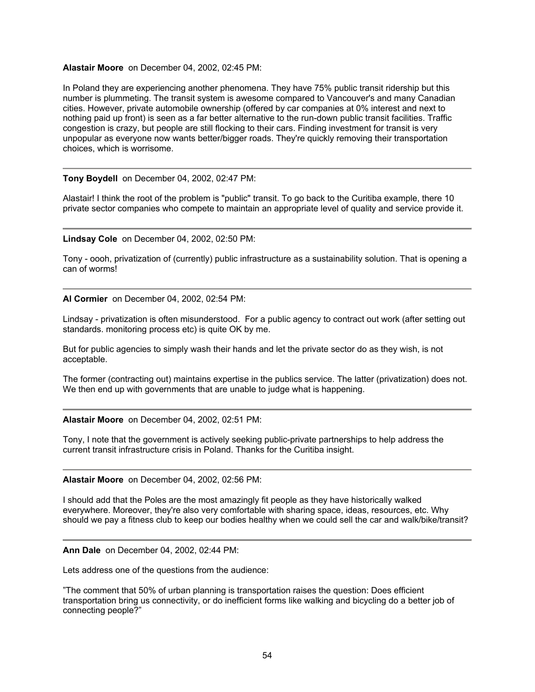#### **Alastair Moore** on December 04, 2002, 02:45 PM:

In Poland they are experiencing another phenomena. They have 75% public transit ridership but this number is plummeting. The transit system is awesome compared to Vancouver's and many Canadian cities. However, private automobile ownership (offered by car companies at 0% interest and next to nothing paid up front) is seen as a far better alternative to the run-down public transit facilities. Traffic congestion is crazy, but people are still flocking to their cars. Finding investment for transit is very unpopular as everyone now wants better/bigger roads. They're quickly removing their transportation choices, which is worrisome.

## **Tony Boydell** on December 04, 2002, 02:47 PM:

Alastair! I think the root of the problem is "public" transit. To go back to the Curitiba example, there 10 private sector companies who compete to maintain an appropriate level of quality and service provide it.

#### **Lindsay Cole** on December 04, 2002, 02:50 PM:

Tony - oooh, privatization of (currently) public infrastructure as a sustainability solution. That is opening a can of worms!

**Al Cormier** on December 04, 2002, 02:54 PM:

Lindsay - privatization is often misunderstood. For a public agency to contract out work (after setting out standards. monitoring process etc) is quite OK by me.

But for public agencies to simply wash their hands and let the private sector do as they wish, is not acceptable.

The former (contracting out) maintains expertise in the publics service. The latter (privatization) does not. We then end up with governments that are unable to judge what is happening.

#### **Alastair Moore** on December 04, 2002, 02:51 PM:

Tony, I note that the government is actively seeking public-private partnerships to help address the current transit infrastructure crisis in Poland. Thanks for the Curitiba insight.

#### **Alastair Moore** on December 04, 2002, 02:56 PM:

I should add that the Poles are the most amazingly fit people as they have historically walked everywhere. Moreover, they're also very comfortable with sharing space, ideas, resources, etc. Why should we pay a fitness club to keep our bodies healthy when we could sell the car and walk/bike/transit?

**Ann Dale** on December 04, 2002, 02:44 PM:

Lets address one of the questions from the audience:

"The comment that 50% of urban planning is transportation raises the question: Does efficient transportation bring us connectivity, or do inefficient forms like walking and bicycling do a better job of connecting people?"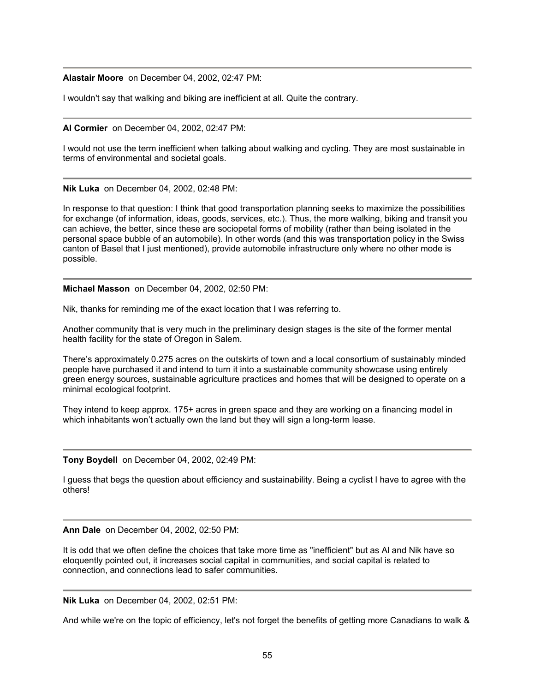**Alastair Moore** on December 04, 2002, 02:47 PM:

I wouldn't say that walking and biking are inefficient at all. Quite the contrary.

**Al Cormier** on December 04, 2002, 02:47 PM:

I would not use the term inefficient when talking about walking and cycling. They are most sustainable in terms of environmental and societal goals.

**Nik Luka** on December 04, 2002, 02:48 PM:

In response to that question: I think that good transportation planning seeks to maximize the possibilities for exchange (of information, ideas, goods, services, etc.). Thus, the more walking, biking and transit you can achieve, the better, since these are sociopetal forms of mobility (rather than being isolated in the personal space bubble of an automobile). In other words (and this was transportation policy in the Swiss canton of Basel that I just mentioned), provide automobile infrastructure only where no other mode is possible.

**Michael Masson** on December 04, 2002, 02:50 PM:

Nik, thanks for reminding me of the exact location that I was referring to.

Another community that is very much in the preliminary design stages is the site of the former mental health facility for the state of Oregon in Salem.

There's approximately 0.275 acres on the outskirts of town and a local consortium of sustainably minded people have purchased it and intend to turn it into a sustainable community showcase using entirely green energy sources, sustainable agriculture practices and homes that will be designed to operate on a minimal ecological footprint.

They intend to keep approx. 175+ acres in green space and they are working on a financing model in which inhabitants won't actually own the land but they will sign a long-term lease.

**Tony Boydell** on December 04, 2002, 02:49 PM:

I guess that begs the question about efficiency and sustainability. Being a cyclist I have to agree with the others!

**Ann Dale** on December 04, 2002, 02:50 PM:

It is odd that we often define the choices that take more time as "inefficient" but as Al and Nik have so eloquently pointed out, it increases social capital in communities, and social capital is related to connection, and connections lead to safer communities.

**Nik Luka** on December 04, 2002, 02:51 PM:

And while we're on the topic of efficiency, let's not forget the benefits of getting more Canadians to walk &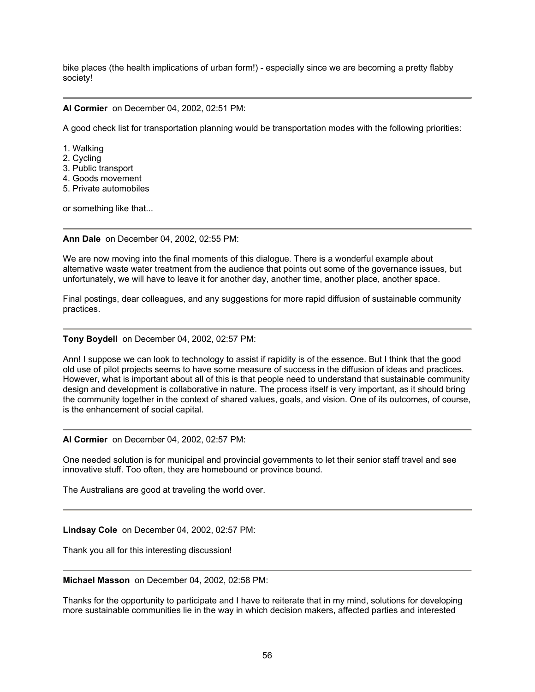bike places (the health implications of urban form!) - especially since we are becoming a pretty flabby society!

# **Al Cormier** on December 04, 2002, 02:51 PM:

A good check list for transportation planning would be transportation modes with the following priorities:

- 1. Walking
- 2. Cycling
- 3. Public transport
- 4. Goods movement
- 5. Private automobiles

or something like that...

#### **Ann Dale** on December 04, 2002, 02:55 PM:

We are now moving into the final moments of this dialogue. There is a wonderful example about alternative waste water treatment from the audience that points out some of the governance issues, but unfortunately, we will have to leave it for another day, another time, another place, another space.

Final postings, dear colleagues, and any suggestions for more rapid diffusion of sustainable community practices.

#### **Tony Boydell** on December 04, 2002, 02:57 PM:

Ann! I suppose we can look to technology to assist if rapidity is of the essence. But I think that the good old use of pilot projects seems to have some measure of success in the diffusion of ideas and practices. However, what is important about all of this is that people need to understand that sustainable community design and development is collaborative in nature. The process itself is very important, as it should bring the community together in the context of shared values, goals, and vision. One of its outcomes, of course, is the enhancement of social capital.

## **Al Cormier** on December 04, 2002, 02:57 PM:

One needed solution is for municipal and provincial governments to let their senior staff travel and see innovative stuff. Too often, they are homebound or province bound.

The Australians are good at traveling the world over.

## **Lindsay Cole** on December 04, 2002, 02:57 PM:

Thank you all for this interesting discussion!

#### **Michael Masson** on December 04, 2002, 02:58 PM:

Thanks for the opportunity to participate and I have to reiterate that in my mind, solutions for developing more sustainable communities lie in the way in which decision makers, affected parties and interested